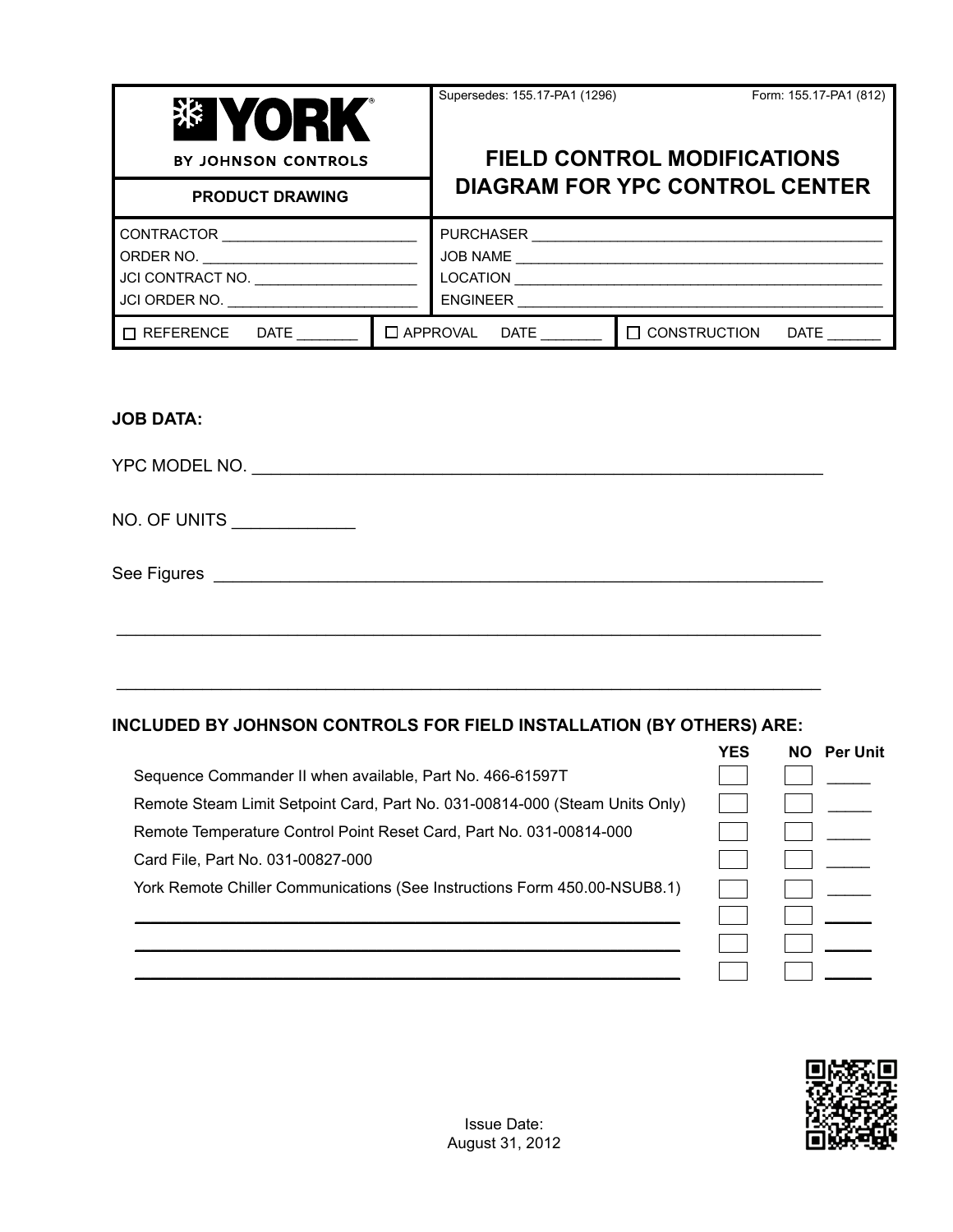

Supersedes: 155.17-PA1 (1296) Form: 155.17-PA1 (812)

# **FIELD CONTROL MODIFICATIONS DIAGRAM FOR YPC CONTROL CENTER**

| <b>PRODUCT DRAWING</b>      |  | PERMITTER THE STATE OF STREET |                             |  |  |
|-----------------------------|--|-------------------------------|-----------------------------|--|--|
| <b>CONTRACTOR</b>           |  | PURCHASER                     |                             |  |  |
| ORDER NO.                   |  | <b>JOB NAME</b>               |                             |  |  |
| UCI CONTRACT NO.            |  | <b>LOCATION</b>               |                             |  |  |
| JCI ORDER NO.               |  | <b>ENGINEER</b>               |                             |  |  |
| <b>TT REFERENCE</b><br>DATE |  | $\square$ APPROVAL<br>DATE    | $\Box$ CONSTRUCTION<br>DATE |  |  |

# **JOB DATA:**

YPC MODEL NO. \_\_\_\_\_\_\_\_\_\_\_\_\_\_\_\_\_\_\_\_\_\_\_\_\_\_\_\_\_\_\_\_\_\_\_\_\_\_\_\_\_\_\_\_\_\_\_\_\_\_\_\_\_\_\_\_\_\_\_\_

NO. OF UNITS \_\_\_\_\_\_\_\_\_\_\_\_\_

See Figures \_\_\_\_\_\_\_\_\_\_\_\_\_\_\_\_\_\_\_\_\_\_\_\_\_\_\_\_\_\_\_\_\_\_\_\_\_\_\_\_\_\_\_\_\_\_\_\_\_\_\_\_\_\_\_\_\_\_\_\_\_\_\_\_

# **INCLUDED BY JOHNSON CONTROLS FOR FIELD INSTALLATION (BY OTHERS) ARE:**

\_\_\_\_\_\_\_\_\_\_\_\_\_\_\_\_\_\_\_\_\_\_\_\_\_\_\_\_\_\_\_\_\_\_\_\_\_\_\_\_\_\_\_\_\_\_\_\_\_\_\_\_\_\_\_\_\_\_\_\_\_\_\_\_\_\_\_\_\_\_\_\_\_\_

\_\_\_\_\_\_\_\_\_\_\_\_\_\_\_\_\_\_\_\_\_\_\_\_\_\_\_\_\_\_\_\_\_\_\_\_\_\_\_\_\_\_\_\_\_\_\_\_\_\_\_\_\_\_\_\_\_\_\_\_\_\_\_\_\_\_\_\_\_\_\_\_\_\_

|                                                                             | <b>YES</b> | <b>Per Unit</b><br><b>NO</b> |
|-----------------------------------------------------------------------------|------------|------------------------------|
| Sequence Commander II when available, Part No. 466-61597T                   |            |                              |
| Remote Steam Limit Setpoint Card, Part No. 031-00814-000 (Steam Units Only) |            |                              |
| Remote Temperature Control Point Reset Card, Part No. 031-00814-000         |            |                              |
| Card File, Part No. 031-00827-000                                           |            |                              |
| York Remote Chiller Communications (See Instructions Form 450.00-NSUB8.1)   |            |                              |
|                                                                             |            |                              |
|                                                                             |            |                              |
|                                                                             |            |                              |

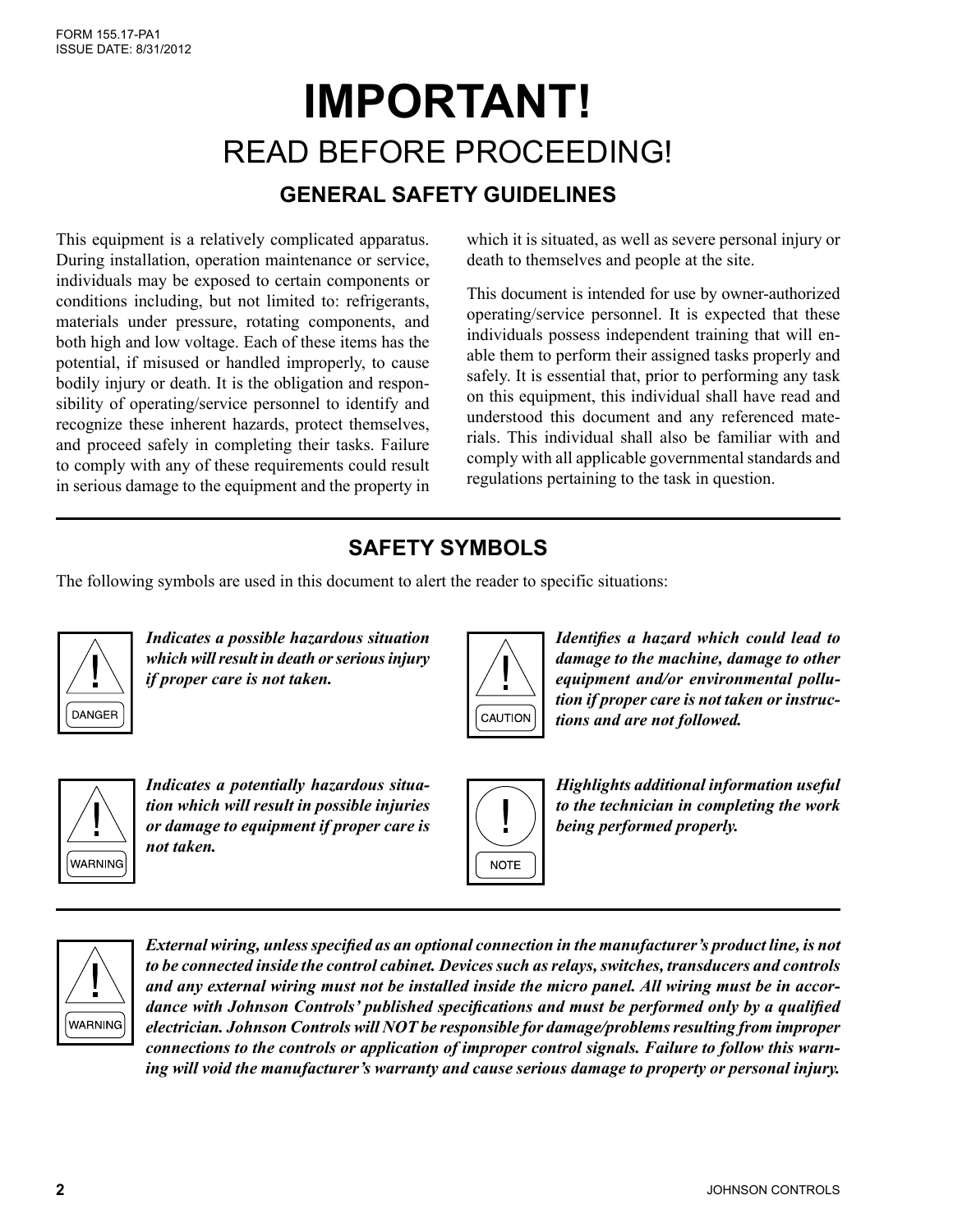# **IMPORTANT!** READ BEFORE PROCEEDING! **GENERAL SAFETY GUIDELINES**

This equipment is a relatively complicated apparatus. During installation, operation maintenance or service, individuals may be exposed to certain components or conditions including, but not limited to: refrigerants, materials under pressure, rotating components, and both high and low voltage. Each of these items has the potential, if misused or handled improperly, to cause bodily injury or death. It is the obligation and responsibility of operating/service personnel to identify and recognize these inherent hazards, protect themselves, and proceed safely in completing their tasks. Failure to comply with any of these requirements could result in serious damage to the equipment and the property in

which it is situated, as well as severe personal injury or death to themselves and people at the site.

This document is intended for use by owner-authorized operating/service personnel. It is expected that these individuals possess independent training that will enable them to perform their assigned tasks properly and safely. It is essential that, prior to performing any task on this equipment, this individual shall have read and understood this document and any referenced materials. This individual shall also be familiar with and comply with all applicable governmental standards and regulations pertaining to the task in question.

# **SAFETY SYMBOLS**

The following symbols are used in this document to alert the reader to specific situations:



*Indicates a possible hazardous situation which will result in death or serious injury if proper care is not taken.*



*Identifies a hazard which could lead to damage to the machine, damage to other equipment and/or environmental pollution if proper care is not taken or instructions and are not followed.*



*Indicates a potentially hazardous situation which will result in possible injuries or damage to equipment if proper care is not taken.*



*Highlights additional information useful to the technician in completing the work being performed properly.*



*External wiring, unless specified as an optional connection in the manufacturer's product line, is not to be connected inside the control cabinet. Devices such as relays, switches, transducers and controls and any external wiring must not be installed inside the micro panel. All wiring must be in accordance with Johnson Controls' published specifications and must be performed only by a qualified electrician. Johnson Controls will NOT be responsible for damage/problems resulting from improper connections to the controls or application of improper control signals. Failure to follow this warning will void the manufacturer's warranty and cause serious damage to property or personal injury.*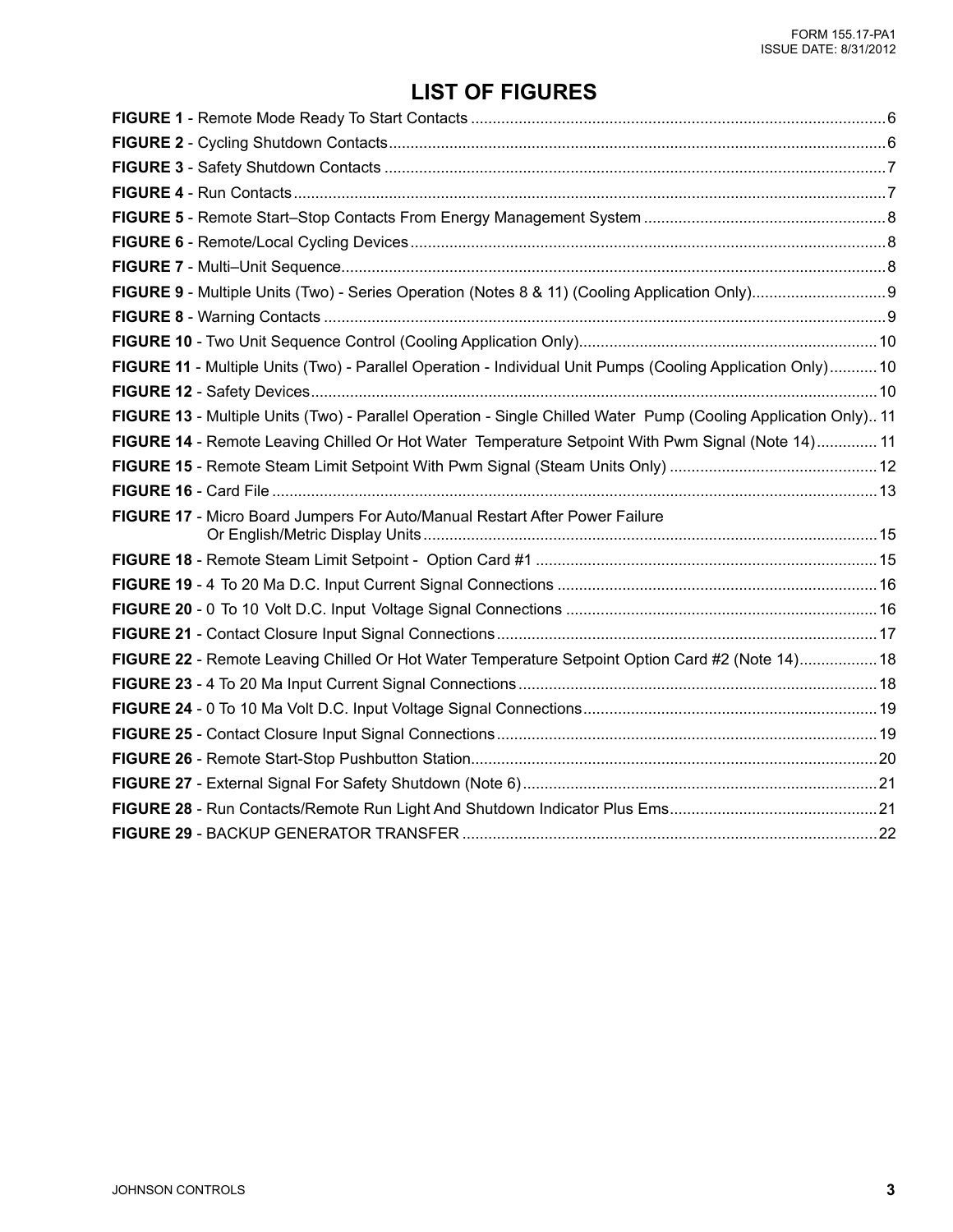# **LIST OF FIGURES**

| FIGURE 11 - Multiple Units (Two) - Parallel Operation - Individual Unit Pumps (Cooling Application Only) 10     |  |
|-----------------------------------------------------------------------------------------------------------------|--|
|                                                                                                                 |  |
| FIGURE 13 - Multiple Units (Two) - Parallel Operation - Single Chilled Water Pump (Cooling Application Only) 11 |  |
| FIGURE 14 - Remote Leaving Chilled Or Hot Water Temperature Setpoint With Pwm Signal (Note 14) 11               |  |
|                                                                                                                 |  |
|                                                                                                                 |  |
| FIGURE 17 - Micro Board Jumpers For Auto/Manual Restart After Power Failure                                     |  |
|                                                                                                                 |  |
|                                                                                                                 |  |
|                                                                                                                 |  |
|                                                                                                                 |  |
|                                                                                                                 |  |
| FIGURE 22 - Remote Leaving Chilled Or Hot Water Temperature Setpoint Option Card #2 (Note 14) 18                |  |
|                                                                                                                 |  |
|                                                                                                                 |  |
|                                                                                                                 |  |
|                                                                                                                 |  |
|                                                                                                                 |  |
|                                                                                                                 |  |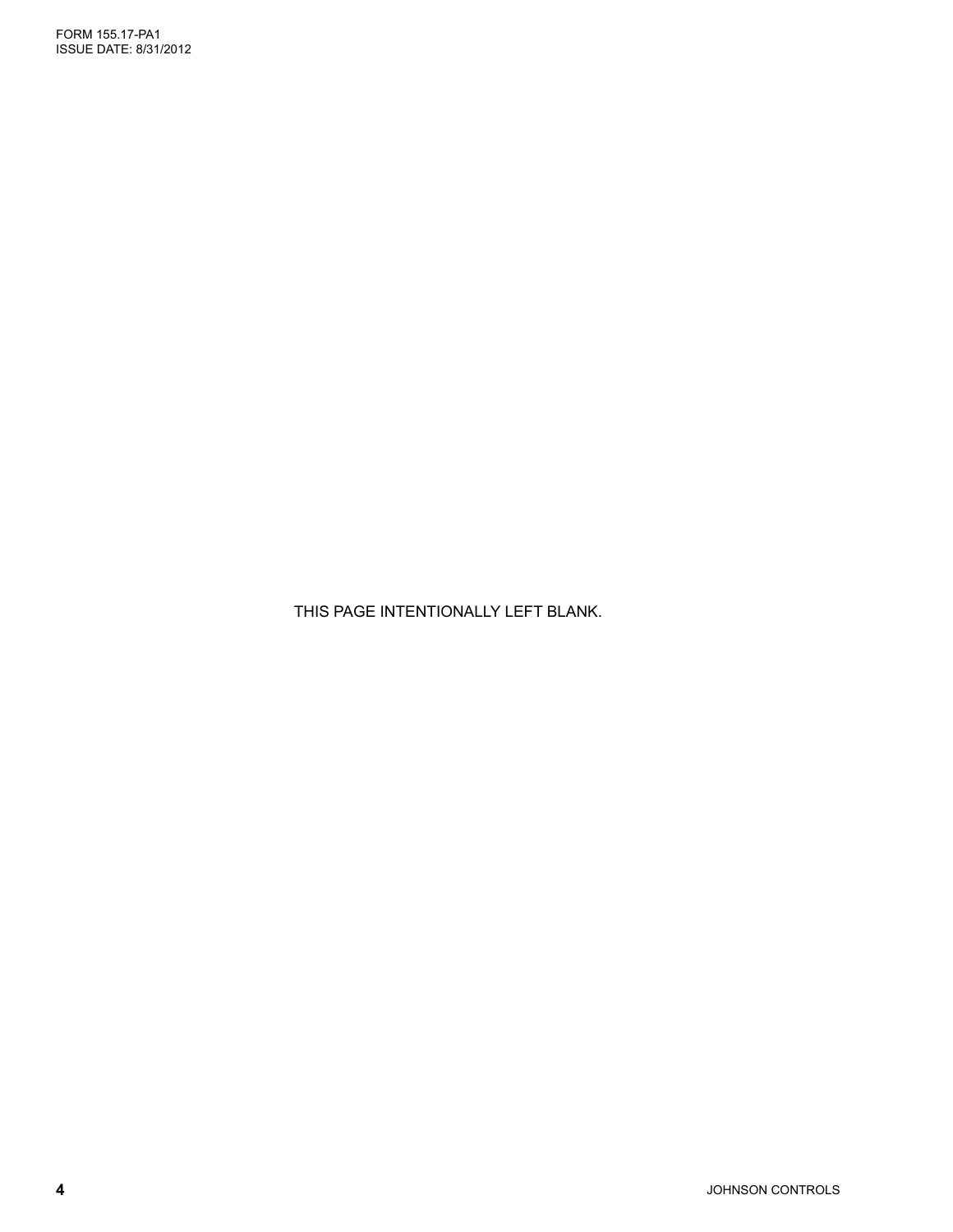THIS PAGE INTENTIONALLY LEFT BLANK.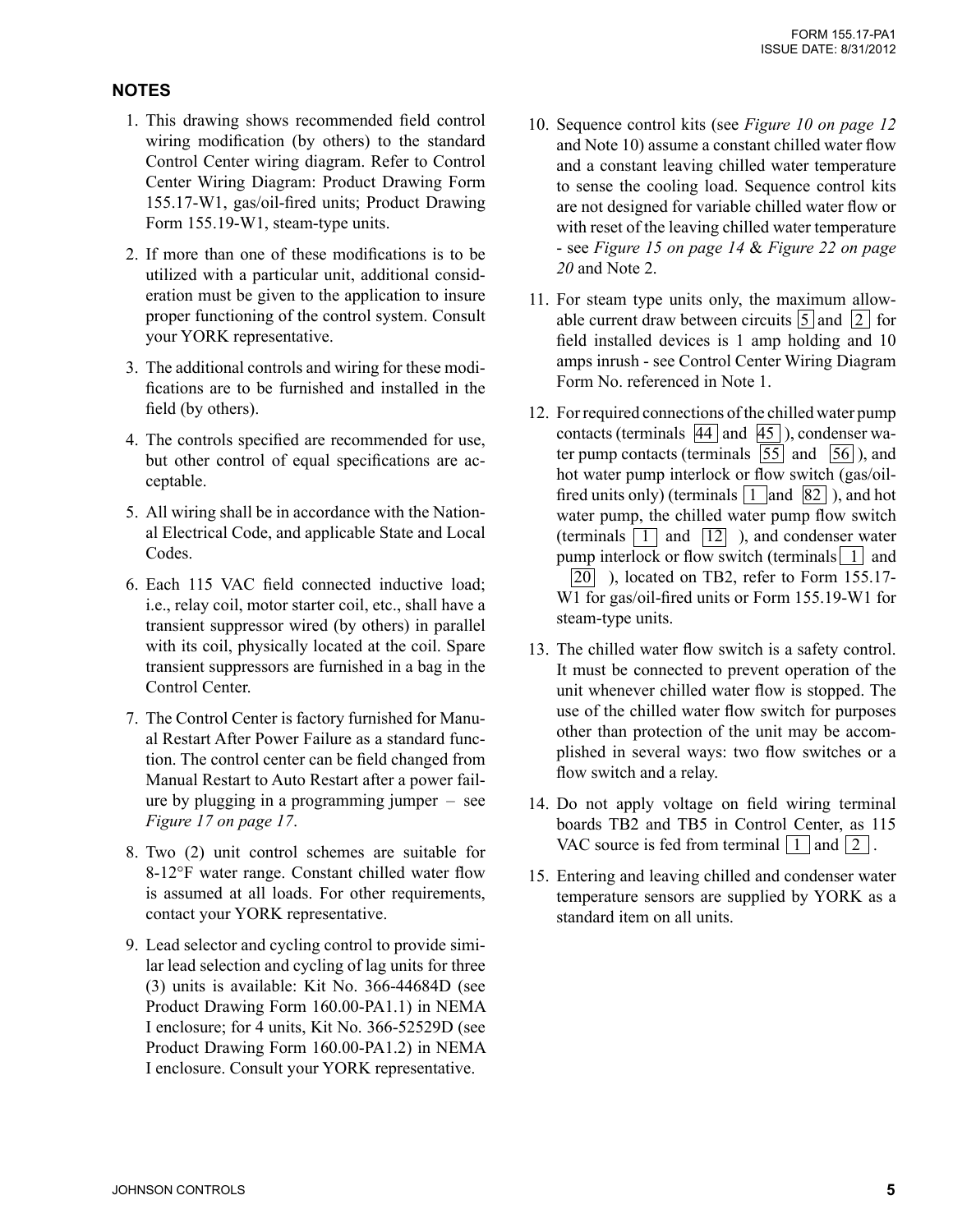# **NOTES**

- 1. This drawing shows recommended field control wiring modification (by others) to the standard Control Center wiring diagram. Refer to Control Center Wiring Diagram: Product Drawing Form 155.17-W1, gas/oil-fired units; Product Drawing Form 155.19-W1, steam-type units.
- 2. If more than one of these modifications is to be utilized with a particular unit, additional consideration must be given to the application to insure proper functioning of the control system. Consult your YORK representative.
- 3. The additional controls and wiring for these modifications are to be furnished and installed in the field (by others).
- 4. The controls specified are recommended for use, but other control of equal specifications are acceptable.
- 5. All wiring shall be in accordance with the National Electrical Code, and applicable State and Local Codes.
- 6. Each 115 VAC field connected inductive load; i.e., relay coil, motor starter coil, etc., shall have a transient suppressor wired (by others) in parallel with its coil, physically located at the coil. Spare transient suppressors are furnished in a bag in the Control Center.
- 7. The Control Center is factory furnished for Manual Restart After Power Failure as a standard function. The control center can be field changed from Manual Restart to Auto Restart after a power failure by plugging in a programming jumper – see *[Figure 17 on page 17](#page-16-1)*.
- 8. Two (2) unit control schemes are suitable for 8-12°F water range. Constant chilled water flow is assumed at all loads. For other requirements, contact your YORK representative.
- 9. Lead selector and cycling control to provide similar lead selection and cycling of lag units for three (3) units is available: Kit No. 366-44684D (see Product Drawing Form 160.00-PA1.1) in NEMA I enclosure; for 4 units, Kit No. 366-52529D (see Product Drawing Form 160.00-PA1.2) in NEMA I enclosure. Consult your YORK representative.
- 10. Sequence control kits (see *[Figure 10 on page 12](#page-11-1)* and Note 10) assume a constant chilled water flow and a constant leaving chilled water temperature to sense the cooling load. Sequence control kits are not designed for variable chilled water flow or with reset of the leaving chilled water temperature - see *[Figure 15 on page 14](#page-13-1)* & *[Figure 22 on page](#page-19-1) [20](#page-19-1)* and Note 2.
- 11. For steam type units only, the maximum allowable current draw between circuits  $\boxed{5}$  and  $\boxed{2}$  for field installed devices is 1 amp holding and 10 amps inrush - see Control Center Wiring Diagram Form No. referenced in Note 1.
- 12. For required connections of the chilled water pump contacts (terminals  $\overline{44}$  and  $\overline{45}$ ), condenser water pump contacts (terminals  $\overline{55}$  and  $\overline{56}$ ), and hot water pump interlock or flow switch (gas/oilfired units only) (terminals  $\boxed{1}$  and  $\boxed{82}$ ), and hot water pump, the chilled water pump flow switch (terminals  $\boxed{1}$  and  $\boxed{12}$ ), and condenser water pump interlock or flow switch (terminals  $\boxed{1}$  and 20 ), located on TB2, refer to Form 155.17- W1 for gas/oil-fired units or Form 155.19-W1 for steam-type units.
- 13. The chilled water flow switch is a safety control. It must be connected to prevent operation of the unit whenever chilled water flow is stopped. The use of the chilled water flow switch for purposes other than protection of the unit may be accomplished in several ways: two flow switches or a flow switch and a relay.
- 14. Do not apply voltage on field wiring terminal boards TB2 and TB5 in Control Center, as 115 VAC source is fed from terminal  $\boxed{1}$  and  $\boxed{2}$ .
- 15. Entering and leaving chilled and condenser water temperature sensors are supplied by YORK as a standard item on all units.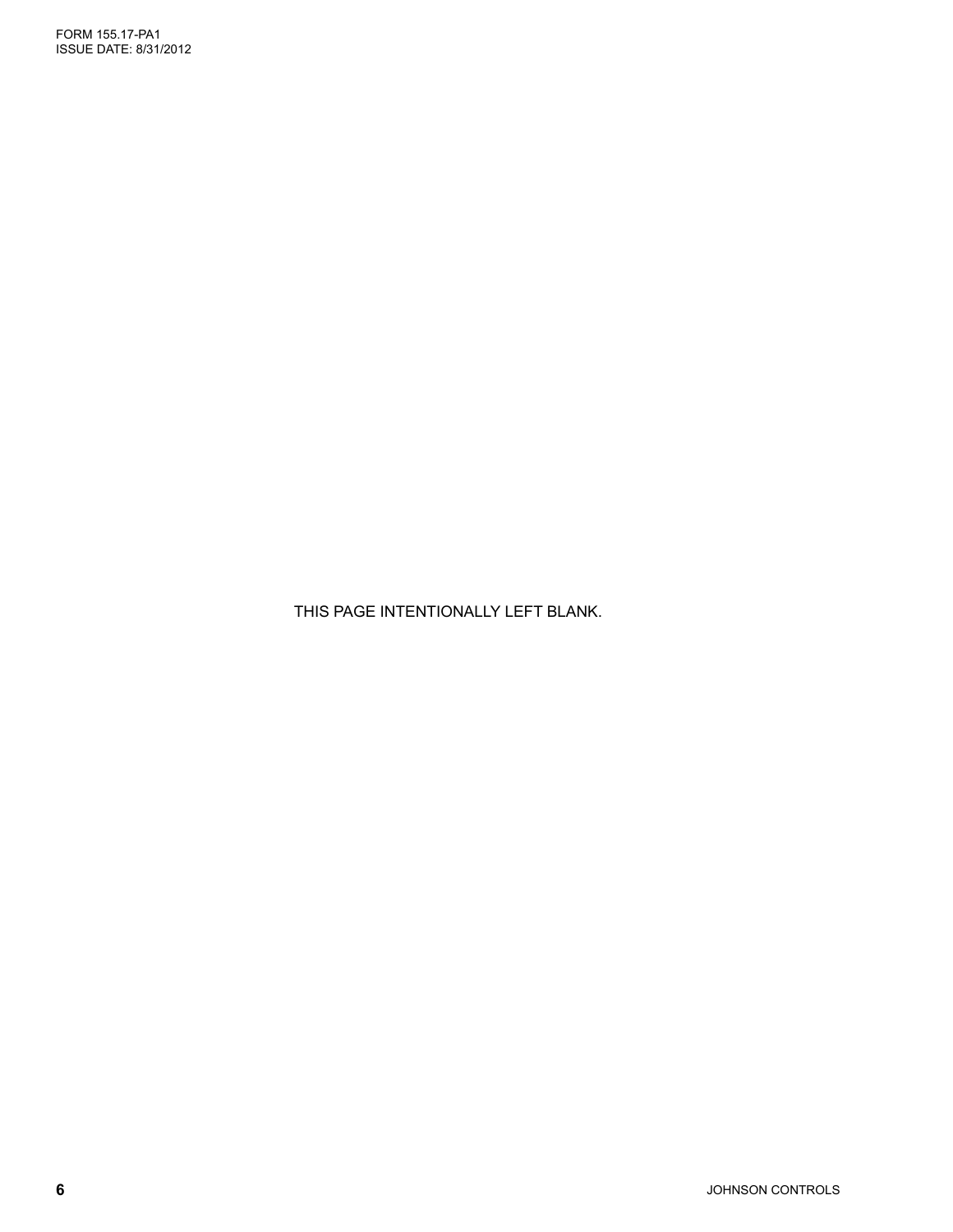THIS PAGE INTENTIONALLY LEFT BLANK.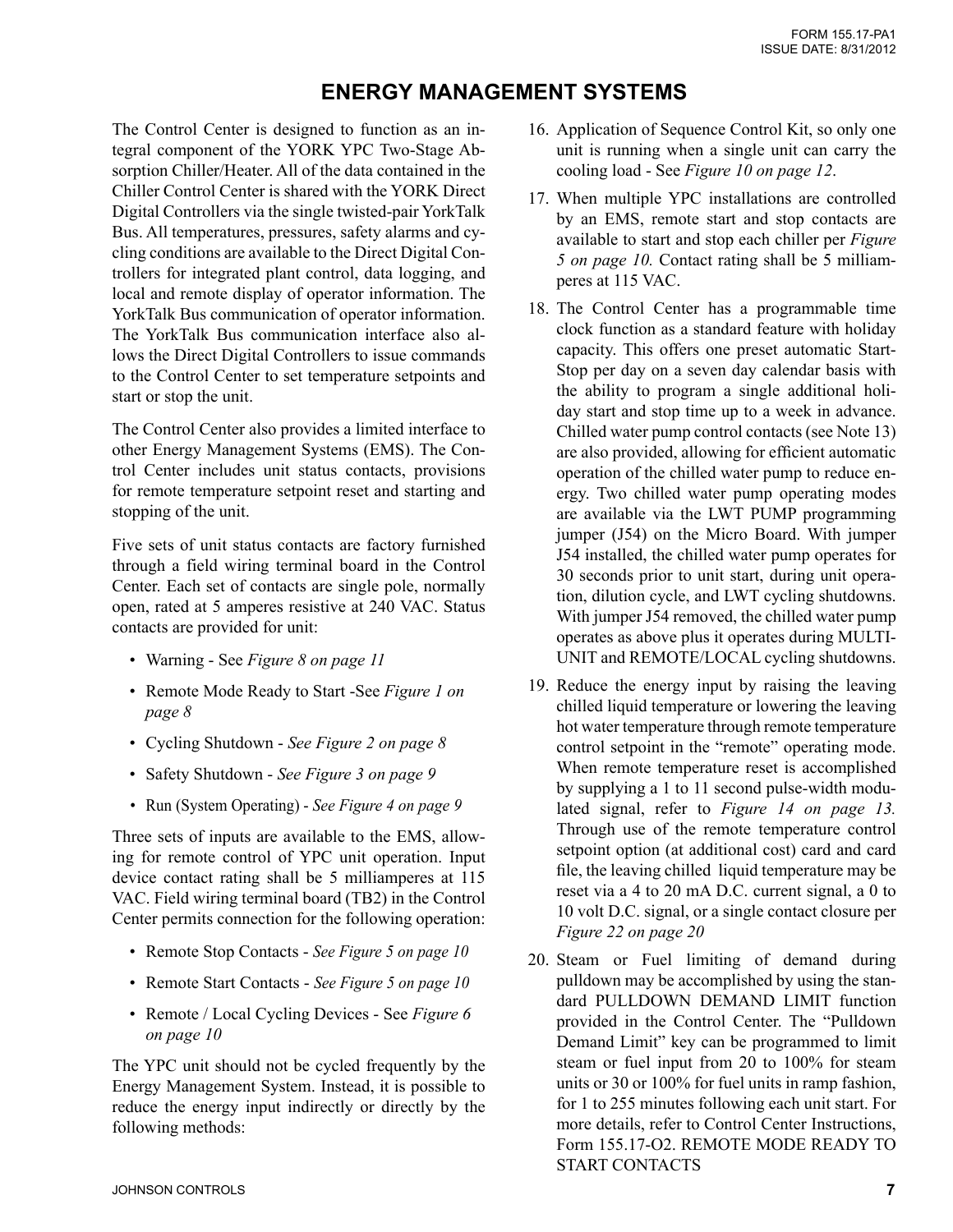# **ENERGY MANAGEMENT SYSTEMS**

The Control Center is designed to function as an integral component of the YORK YPC Two-Stage Absorption Chiller/Heater. All of the data contained in the Chiller Control Center is shared with the YORK Direct Digital Controllers via the single twisted-pair YorkTalk Bus. All temperatures, pressures, safety alarms and cycling conditions are available to the Direct Digital Controllers for integrated plant control, data logging, and local and remote display of operator information. The YorkTalk Bus communication of operator information. The YorkTalk Bus communication interface also allows the Direct Digital Controllers to issue commands to the Control Center to set temperature setpoints and start or stop the unit.

The Control Center also provides a limited interface to other Energy Management Systems (EMS). The Control Center includes unit status contacts, provisions for remote temperature setpoint reset and starting and stopping of the unit.

Five sets of unit status contacts are factory furnished through a field wiring terminal board in the Control Center. Each set of contacts are single pole, normally open, rated at 5 amperes resistive at 240 VAC. Status contacts are provided for unit:

- Warning See *[Figure 8 on page 11](#page-10-1)*
- Remote Mode Ready to Start -See *[Figure 1 on](#page-7-1)  [page 8](#page-7-1)*
- Cycling Shutdown *See [Figure 2 on page 8](#page-7-2)*
- Safety Shutdown *See [Figure 3 on page 9](#page-8-1)*
- Run (System Operating) *See [Figure 4 on page 9](#page-8-2)*

Three sets of inputs are available to the EMS, allowing for remote control of YPC unit operation. Input device contact rating shall be 5 milliamperes at 115 VAC. Field wiring terminal board (TB2) in the Control Center permits connection for the following operation:

- Remote Stop Contacts *See [Figure 5 on page 10](#page-9-1)*
- Remote Start Contacts *See [Figure 5 on page 10](#page-9-1)*
- Remote / Local Cycling Devices See *[Figure 6](#page-9-2)  [on page 10](#page-9-2)*

The YPC unit should not be cycled frequently by the Energy Management System. Instead, it is possible to reduce the energy input indirectly or directly by the following methods:

- 16. Application of Sequence Control Kit, so only one unit is running when a single unit can carry the cooling load - See *[Figure 10 on page 12](#page-11-1)*.
- 17. When multiple YPC installations are controlled by an EMS, remote start and stop contacts are available to start and stop each chiller per *[Figure](#page-9-1) [5 on page 10](#page-9-1).* Contact rating shall be 5 milliamperes at 115 VAC.
- 18. The Control Center has a programmable time clock function as a standard feature with holiday capacity. This offers one preset automatic Start-Stop per day on a seven day calendar basis with the ability to program a single additional holiday start and stop time up to a week in advance. Chilled water pump control contacts (see Note 13) are also provided, allowing for efficient automatic operation of the chilled water pump to reduce energy. Two chilled water pump operating modes are available via the LWT PUMP programming jumper (J54) on the Micro Board. With jumper J54 installed, the chilled water pump operates for 30 seconds prior to unit start, during unit operation, dilution cycle, and LWT cycling shutdowns. With jumper J54 removed, the chilled water pump operates as above plus it operates during MULTI-UNIT and REMOTE/LOCAL cycling shutdowns.
- 19. Reduce the energy input by raising the leaving chilled liquid temperature or lowering the leaving hot water temperature through remote temperature control setpoint in the "remote" operating mode. When remote temperature reset is accomplished by supplying a 1 to 11 second pulse-width modulated signal, refer to *[Figure 14 on page 13](#page-12-1).* Through use of the remote temperature control setpoint option (at additional cost) card and card file, the leaving chilled liquid temperature may be reset via a 4 to 20 mA D.C. current signal, a 0 to 10 volt D.C. signal, or a single contact closure per *[Figure 22 on page 20](#page-19-1)*
- 20. Steam or Fuel limiting of demand during pulldown may be accomplished by using the standard PULLDOWN DEMAND LIMIT function provided in the Control Center. The "Pulldown Demand Limit" key can be programmed to limit steam or fuel input from 20 to 100% for steam units or 30 or 100% for fuel units in ramp fashion, for 1 to 255 minutes following each unit start. For more details, refer to Control Center Instructions, Form 155.17-O2. REMOTE MODE READY TO START CONTACTS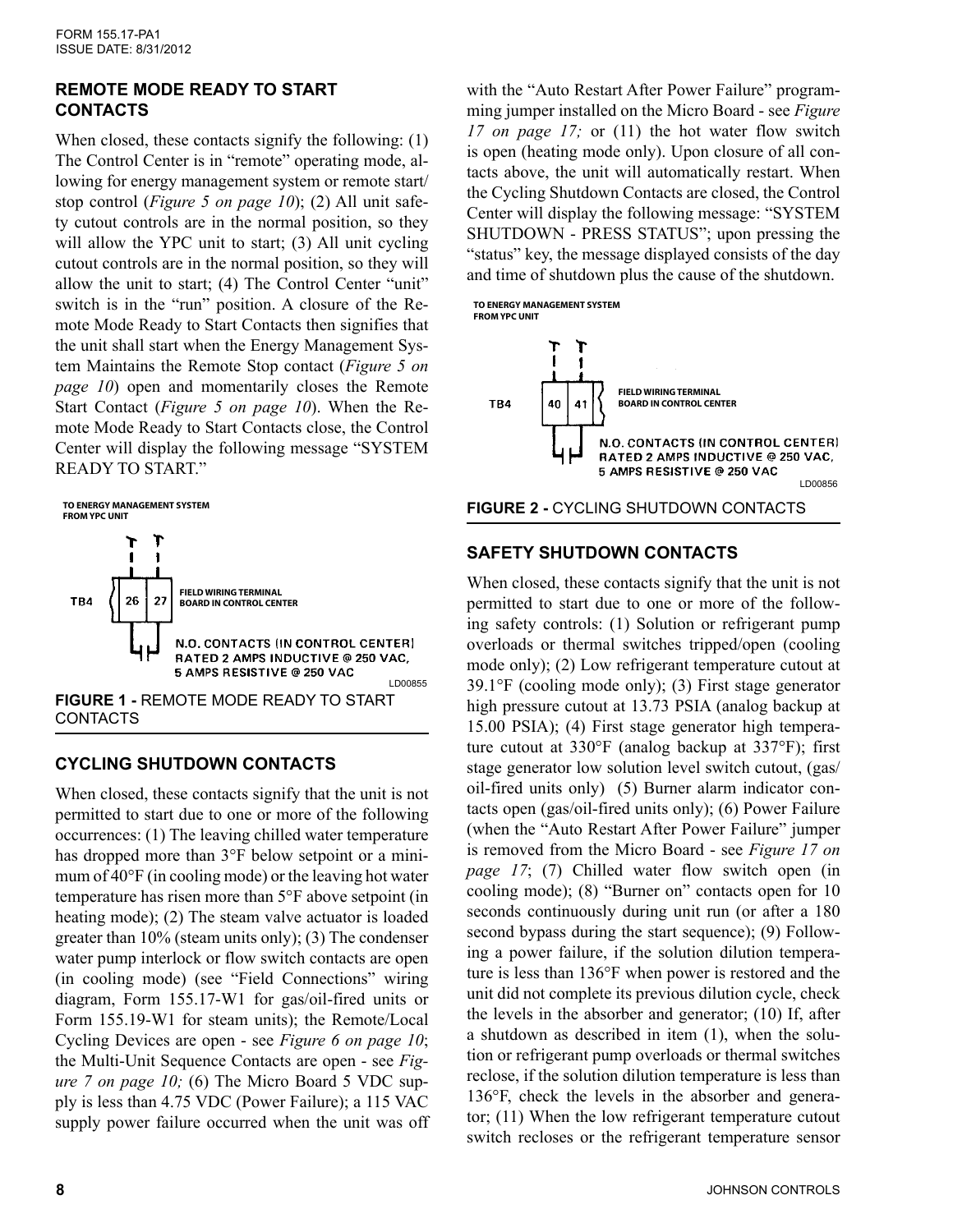# <span id="page-7-0"></span>**REMOTE MODE READY TO START CONTACTS**

When closed, these contacts signify the following: (1) The Control Center is in "remote" operating mode, allowing for energy management system or remote start/ stop control (*[Figure 5 on page 10](#page-9-1)*); (2) All unit safety cutout controls are in the normal position, so they will allow the YPC unit to start; (3) All unit cycling cutout controls are in the normal position, so they will allow the unit to start; (4) The Control Center "unit" switch is in the "run" position. A closure of the Remote Mode Ready to Start Contacts then signifies that the unit shall start when the Energy Management System Maintains the Remote Stop contact (*[Figure 5 on](#page-9-1) [page 10](#page-9-1)*) open and momentarily closes the Remote Start Contact (*[Figure 5 on page 10](#page-9-1)*). When the Remote Mode Ready to Start Contacts close, the Control Center will display the following message "SYSTEM READY TO START."



# <span id="page-7-1"></span>**CYCLING SHUTDOWN CONTACTS**

When closed, these contacts signify that the unit is not permitted to start due to one or more of the following occurrences: (1) The leaving chilled water temperature has dropped more than 3°F below setpoint or a minimum of 40°F (in cooling mode) or the leaving hot water temperature has risen more than 5°F above setpoint (in heating mode); (2) The steam valve actuator is loaded greater than 10% (steam units only); (3) The condenser water pump interlock or flow switch contacts are open (in cooling mode) (see "Field Connections" wiring diagram, Form 155.17-W1 for gas/oil-fired units or Form 155.19-W1 for steam units); the Remote/Local Cycling Devices are open - see *[Figure 6 on page 10](#page-9-2)*; the Multi-Unit Sequence Contacts are open - see *[Fig](#page-9-3)[ure 7 on page 10;](#page-9-3)* (6) The Micro Board 5 VDC supply is less than 4.75 VDC (Power Failure); a 115 VAC supply power failure occurred when the unit was off with the "Auto Restart After Power Failure" programming jumper installed on the Micro Board - see *[Figure](#page-16-1) [17 on page 17;](#page-16-1)* or (11) the hot water flow switch is open (heating mode only). Upon closure of all contacts above, the unit will automatically restart. When the Cycling Shutdown Contacts are closed, the Control Center will display the following message: "SYSTEM SHUTDOWN - PRESS STATUS"; upon pressing the "status" key, the message displayed consists of the day and time of shutdown plus the cause of the shutdown.



# <span id="page-7-2"></span>**SAFETY SHUTDOWN CONTACTS**

When closed, these contacts signify that the unit is not permitted to start due to one or more of the following safety controls: (1) Solution or refrigerant pump overloads or thermal switches tripped/open (cooling mode only); (2) Low refrigerant temperature cutout at 39.1°F (cooling mode only); (3) First stage generator high pressure cutout at 13.73 PSIA (analog backup at 15.00 PSIA); (4) First stage generator high temperature cutout at 330°F (analog backup at 337°F); first stage generator low solution level switch cutout, (gas/ oil-fired units only) (5) Burner alarm indicator contacts open (gas/oil-fired units only); (6) Power Failure (when the "Auto Restart After Power Failure" jumper is removed from the Micro Board - see *[Figure 17 on](#page-16-1)  [page 17](#page-16-1)*; (7) Chilled water flow switch open (in cooling mode); (8) "Burner on" contacts open for 10 seconds continuously during unit run (or after a 180 second bypass during the start sequence); (9) Following a power failure, if the solution dilution temperature is less than 136°F when power is restored and the unit did not complete its previous dilution cycle, check the levels in the absorber and generator; (10) If, after a shutdown as described in item (1), when the solution or refrigerant pump overloads or thermal switches reclose, if the solution dilution temperature is less than 136°F, check the levels in the absorber and generator; (11) When the low refrigerant temperature cutout switch recloses or the refrigerant temperature sensor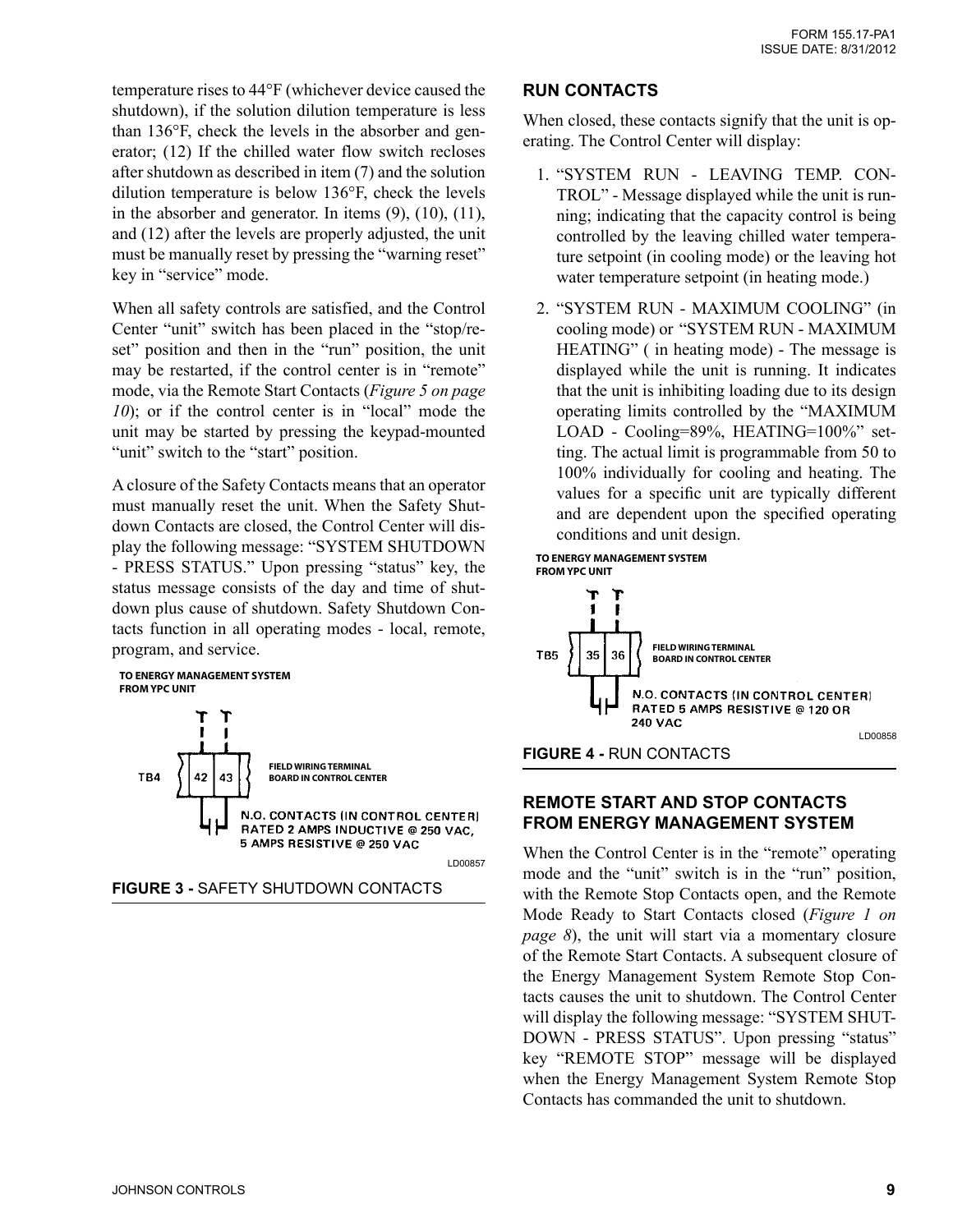<span id="page-8-0"></span>temperature rises to 44°F (whichever device caused the shutdown), if the solution dilution temperature is less than 136°F, check the levels in the absorber and generator; (12) If the chilled water flow switch recloses after shutdown as described in item (7) and the solution dilution temperature is below 136°F, check the levels in the absorber and generator. In items  $(9)$ ,  $(10)$ ,  $(11)$ , and (12) after the levels are properly adjusted, the unit must be manually reset by pressing the "warning reset" key in "service" mode.

When all safety controls are satisfied, and the Control Center "unit" switch has been placed in the "stop/reset" position and then in the "run" position, the unit may be restarted, if the control center is in "remote" mode, via the Remote Start Contacts (*[Figure 5 on page](#page-9-1) [10](#page-9-1)*); or if the control center is in "local" mode the unit may be started by pressing the keypad-mounted "unit" switch to the "start" position.

A closure of the Safety Contacts means that an operator must manually reset the unit. When the Safety Shutdown Contacts are closed, the Control Center will display the following message: "SYSTEM SHUTDOWN - PRESS STATUS." Upon pressing "status" key, the status message consists of the day and time of shutdown plus cause of shutdown. Safety Shutdown Contacts function in all operating modes - local, remote, program, and service.

#### **TO ENERGY MANAGEMENT SYSTEM FROM YPC UNIT**



<span id="page-8-1"></span>

# **RUN CONTACTS**

When closed, these contacts signify that the unit is operating. The Control Center will display:

- 1. "SYSTEM RUN LEAVING TEMP. CON-TROL" - Message displayed while the unit is running; indicating that the capacity control is being controlled by the leaving chilled water temperature setpoint (in cooling mode) or the leaving hot water temperature setpoint (in heating mode.)
- 2. "SYSTEM RUN MAXIMUM COOLING" (in cooling mode) or "SYSTEM RUN - MAXIMUM HEATING" ( in heating mode) - The message is displayed while the unit is running. It indicates that the unit is inhibiting loading due to its design operating limits controlled by the "MAXIMUM LOAD - Cooling=89%, HEATING=100%" setting. The actual limit is programmable from 50 to 100% individually for cooling and heating. The values for a specific unit are typically different and are dependent upon the specified operating conditions and unit design.



<span id="page-8-2"></span>**Figure 4 -** RUN CONTACTS

# **REMOTE START AND STOP CONTACTS FROM ENERGY MANAGEMENT SYSTEM**

When the Control Center is in the "remote" operating mode and the "unit" switch is in the "run" position, with the Remote Stop Contacts open, and the Remote Mode Ready to Start Contacts closed (*[Figure 1 on](#page-7-1)  [page 8](#page-7-1)*), the unit will start via a momentary closure of the Remote Start Contacts. A subsequent closure of the Energy Management System Remote Stop Contacts causes the unit to shutdown. The Control Center will display the following message: "SYSTEM SHUT-DOWN - PRESS STATUS". Upon pressing "status" key "REMOTE STOP" message will be displayed when the Energy Management System Remote Stop Contacts has commanded the unit to shutdown.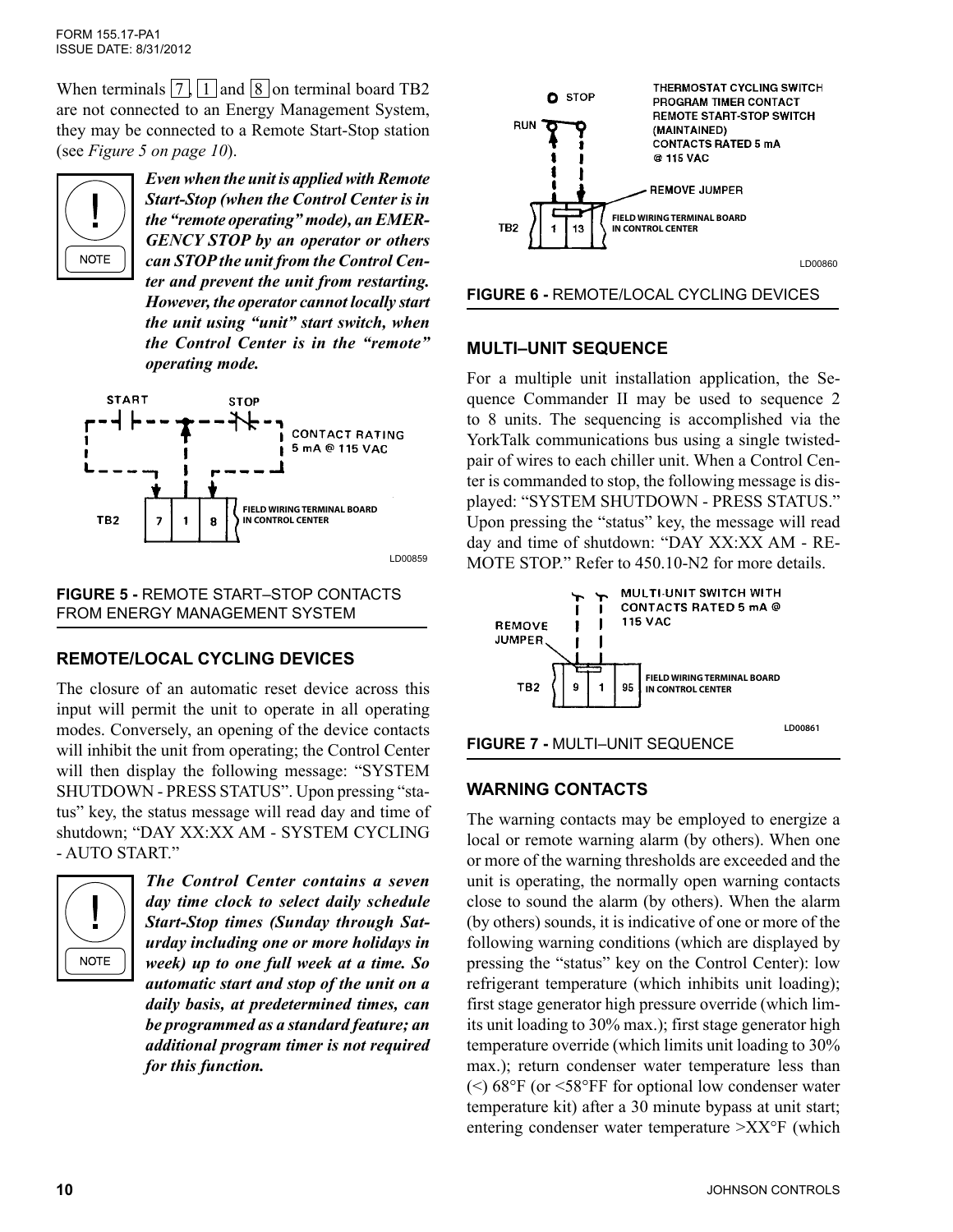<span id="page-9-0"></span>When terminals  $7 \mid 1 \mid$  and  $\mid 8 \mid$  on terminal board TB2 are not connected to an Energy Management System, they may be connected to a Remote Start-Stop station (see *[Figure 5 on page 10](#page-9-1)*).



*Even when the unit is applied with Remote Start-Stop (when the Control Center is in the "remote operating" mode), an EMER-GENCY STOP by an operator or others can STOP the unit from the Control Center and prevent the unit from restarting. However, the operator cannot locally start the unit using "unit" start switch, when the Control Center is in the "remote" operating mode.*



<span id="page-9-1"></span>**Figure 5 -** REMOTE START–STOP CONTACTS FROM ENERGY MANAGEMENT SYSTEM

# **REMOTE/LOCAL CYCLING DEVICES**

The closure of an automatic reset device across this input will permit the unit to operate in all operating modes. Conversely, an opening of the device contacts will inhibit the unit from operating; the Control Center will then display the following message: "SYSTEM SHUTDOWN - PRESS STATUS". Upon pressing "status" key, the status message will read day and time of shutdown; "DAY XX:XX AM - SYSTEM CYCLING - AUTO START."



*The Control Center contains a seven day time clock to select daily schedule Start-Stop times (Sunday through Saturday including one or more holidays in week) up to one full week at a time. So automatic start and stop of the unit on a daily basis, at predetermined times, can be programmed as a standard feature; an additional program timer is not required for this function.*



<span id="page-9-2"></span>**Figure 6 -** REMOTE/LOCAL CYCLING DEVICES

# **MULTI–UNIT SEQUENCE**

For a multiple unit installation application, the Sequence Commander II may be used to sequence 2 to 8 units. The sequencing is accomplished via the YorkTalk communications bus using a single twistedpair of wires to each chiller unit. When a Control Center is commanded to stop, the following message is displayed: "SYSTEM SHUTDOWN - PRESS STATUS." Upon pressing the "status" key, the message will read day and time of shutdown: "DAY XX:XX AM - RE-MOTE STOP." Refer to 450.10-N2 for more details.



# <span id="page-9-3"></span>**Figure 7 -** MULTI–UNIT SEQUENCE

## **WARNING CONTACTS**

The warning contacts may be employed to energize a local or remote warning alarm (by others). When one or more of the warning thresholds are exceeded and the unit is operating, the normally open warning contacts close to sound the alarm (by others). When the alarm (by others) sounds, it is indicative of one or more of the following warning conditions (which are displayed by pressing the "status" key on the Control Center): low refrigerant temperature (which inhibits unit loading); first stage generator high pressure override (which limits unit loading to 30% max.); first stage generator high temperature override (which limits unit loading to 30% max.); return condenser water temperature less than (<) 68°F (or <58°FF for optional low condenser water temperature kit) after a 30 minute bypass at unit start; entering condenser water temperature >XX°F (which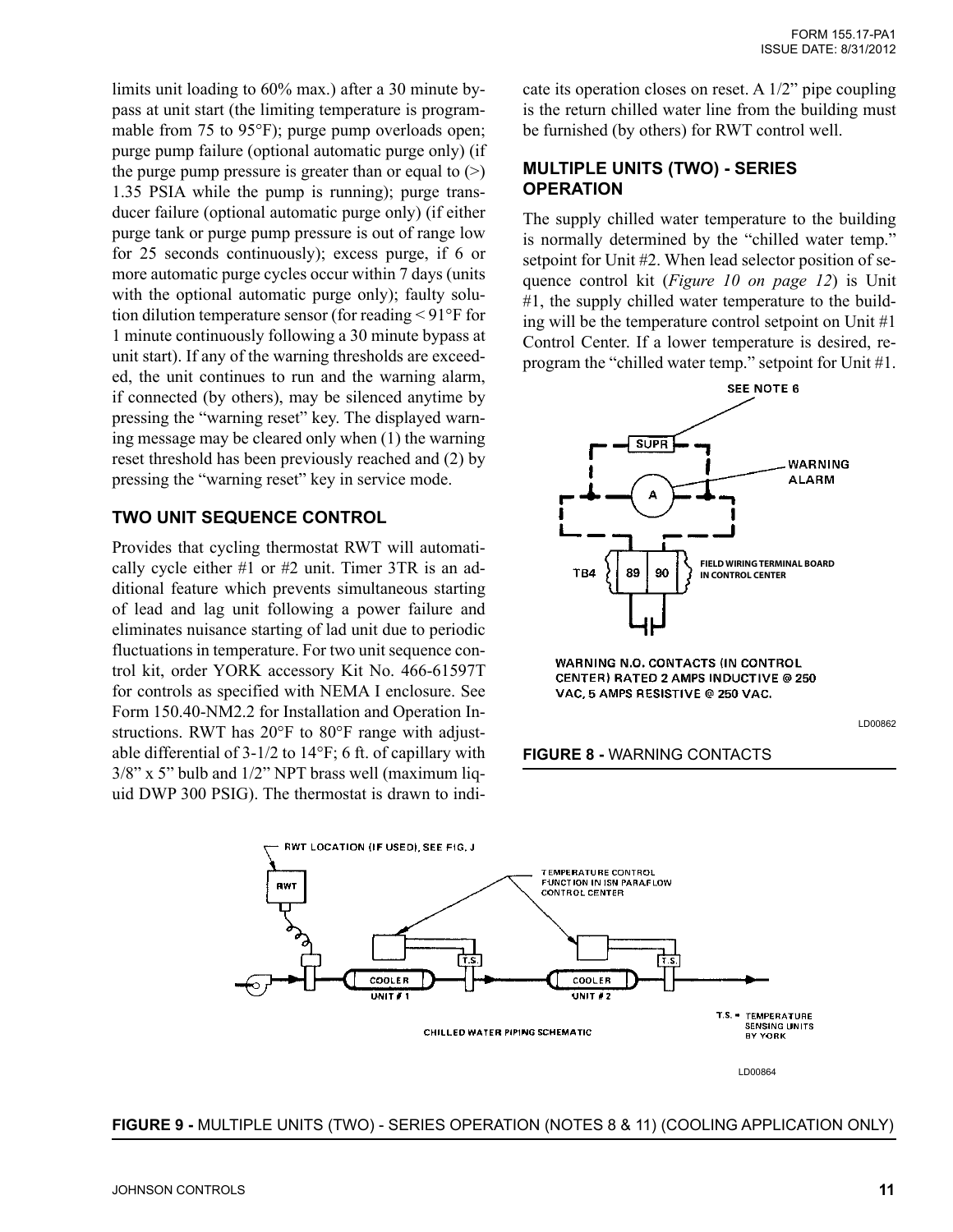<span id="page-10-0"></span>limits unit loading to 60% max.) after a 30 minute bypass at unit start (the limiting temperature is programmable from 75 to 95°F); purge pump overloads open; purge pump failure (optional automatic purge only) (if the purge pump pressure is greater than or equal to  $(>)$ 1.35 PSIA while the pump is running); purge transducer failure (optional automatic purge only) (if either purge tank or purge pump pressure is out of range low for 25 seconds continuously); excess purge, if 6 or more automatic purge cycles occur within 7 days (units with the optional automatic purge only); faulty solution dilution temperature sensor (for reading < 91°F for 1 minute continuously following a 30 minute bypass at unit start). If any of the warning thresholds are exceeded, the unit continues to run and the warning alarm, if connected (by others), may be silenced anytime by pressing the "warning reset" key. The displayed warning message may be cleared only when (1) the warning reset threshold has been previously reached and (2) by pressing the "warning reset" key in service mode.

# **TWO UNIT SEQUENCE CONTROL**

Provides that cycling thermostat RWT will automatically cycle either #1 or #2 unit. Timer 3TR is an additional feature which prevents simultaneous starting of lead and lag unit following a power failure and eliminates nuisance starting of lad unit due to periodic fluctuations in temperature. For two unit sequence control kit, order YORK accessory Kit No. 466-61597T for controls as specified with NEMA I enclosure. See Form 150.40-NM2.2 for Installation and Operation Instructions. RWT has 20°F to 80°F range with adjustable differential of 3-1/2 to 14°F; 6 ft. of capillary with 3/8" x 5" bulb and 1/2" NPT brass well (maximum liquid DWP 300 PSIG). The thermostat is drawn to indi-

cate its operation closes on reset. A 1/2" pipe coupling is the return chilled water line from the building must be furnished (by others) for RWT control well.

# **MULTIPLE UNITS (TWO) - SERIES OPERATION**

The supply chilled water temperature to the building is normally determined by the "chilled water temp." setpoint for Unit #2. When lead selector position of sequence control kit (*[Figure 10 on page 12](#page-11-1)*) is Unit #1, the supply chilled water temperature to the building will be the temperature control setpoint on Unit #1 Control Center. If a lower temperature is desired, reprogram the "chilled water temp." setpoint for Unit #1.



<span id="page-10-1"></span>**WARNING N.O. CONTACTS (IN CONTROL** CENTER) RATED 2 AMPS INDUCTIVE @ 250 VAC, 5 AMPS RESISTIVE @ 250 VAC.

LD00862

**Figure 8 -** WARNING CONTACTS



LD00864

#### **Figure 9 -** MULTIPLE UNITS (TWO) - SERIES OPERATION (NOTES 8 & 11) (COOLING APPLICATION ONLY)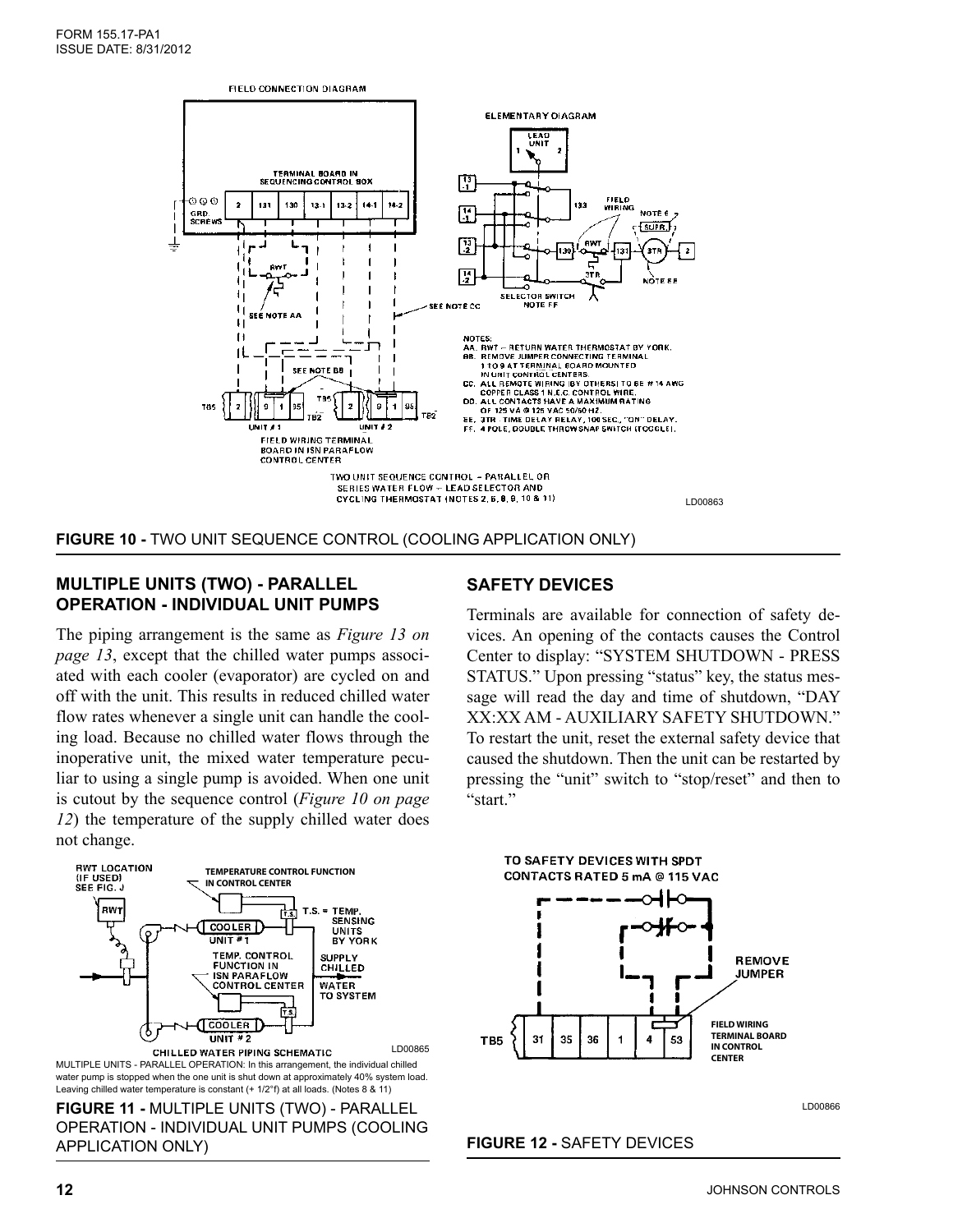<span id="page-11-0"></span>

#### <span id="page-11-1"></span>**Figure 10 -** TWO UNIT SEQUENCE CONTROL (COOLING APPLICATION ONLY)

# **MULTIPLE UNITS (TWO) - PARALLEL OPERATION - INDIVIDUAL UNIT PUMPS**

The piping arrangement is the same as *[Figure 13 on](#page-12-2) [page 13](#page-12-2)*, except that the chilled water pumps associated with each cooler (evaporator) are cycled on and off with the unit. This results in reduced chilled water flow rates whenever a single unit can handle the cooling load. Because no chilled water flows through the inoperative unit, the mixed water temperature peculiar to using a single pump is avoided. When one unit is cutout by the sequence control (*[Figure 10 on page](#page-11-1)  [12](#page-11-1)*) the temperature of the supply chilled water does not change.



<span id="page-11-2"></span>**Figure 11 -** MULTIPLE UNITS (TWO) - PARALLEL OPERATION - INDIVIDUAL UNIT PUMPS (COOLING APPLICATION ONLY)

# **SAFETY DEVICES**

Terminals are available for connection of safety devices. An opening of the contacts causes the Control Center to display: "SYSTEM SHUTDOWN - PRESS STATUS." Upon pressing "status" key, the status message will read the day and time of shutdown, "DAY XX:XX AM - AUXILIARY SAFETY SHUTDOWN." To restart the unit, reset the external safety device that caused the shutdown. Then the unit can be restarted by pressing the "unit" switch to "stop/reset" and then to "start."



LD00866

#### **Figure 12 -** SAFETY DEVICES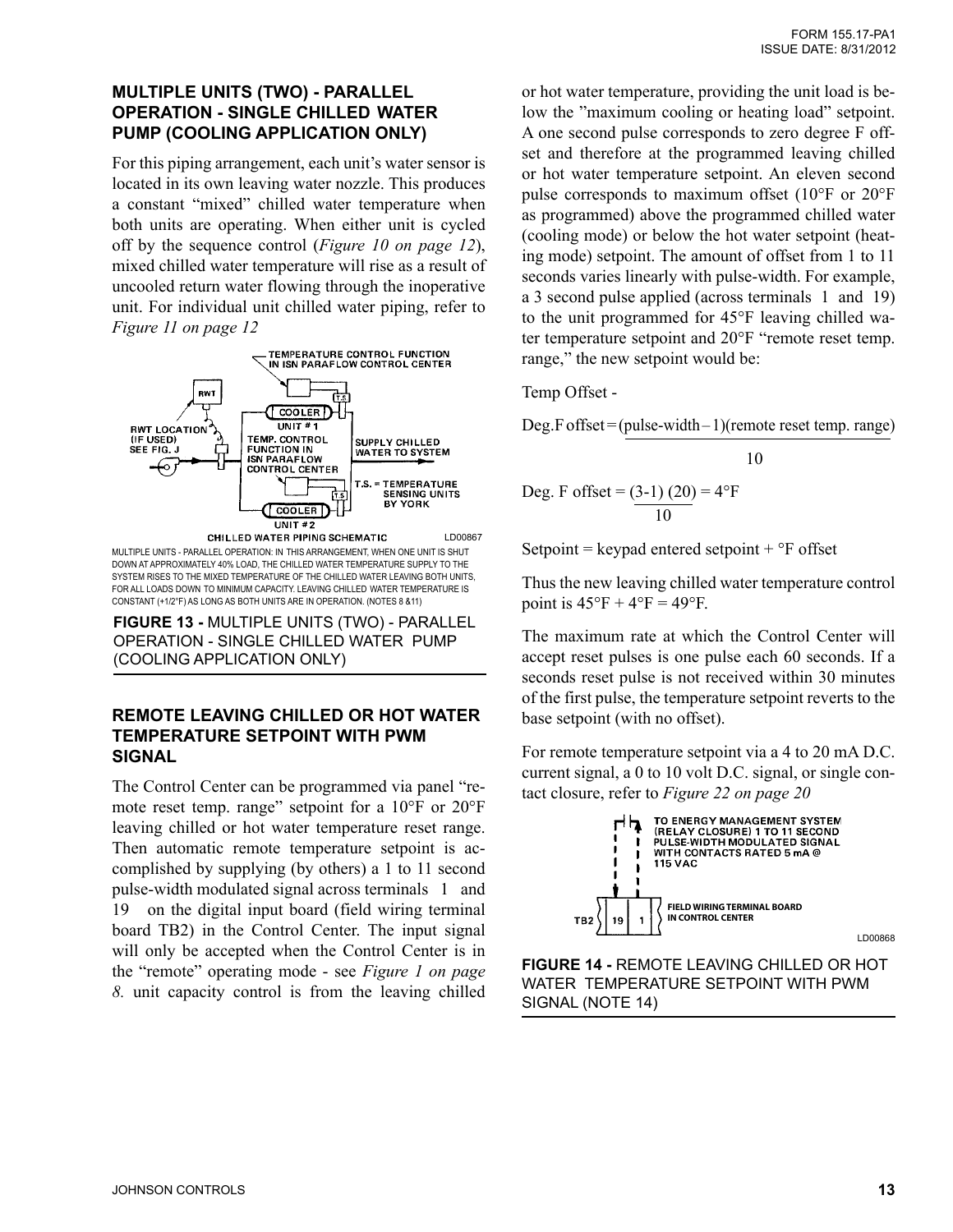# <span id="page-12-0"></span>**MULTIPLE UNITS (TWO) - PARALLEL OPERATION - SINGLE CHILLED WATER PUMP (COOLING APPLICATION ONLY)**

For this piping arrangement, each unit's water sensor is located in its own leaving water nozzle. This produces a constant "mixed" chilled water temperature when both units are operating. When either unit is cycled off by the sequence control (*[Figure 10 on page 12](#page-11-1)*), mixed chilled water temperature will rise as a result of uncooled return water flowing through the inoperative unit. For individual unit chilled water piping, refer to *[Figure 11 on page 12](#page-11-2)*



DOWN AT APPROXIMATELY 40% LOAD, THE CHILLED WATER TEMPERATURE SUPPLY TO THE SYSTEM RISES TO THE MIXED TEMPERATURE OF THE CHILLED WATER LEAVING BOTH UNITS. FOR ALL LOADS DOWN TO MINIMUM CAPACITY LEAVING CHILLED WATER TEMPERATURE IS CONSTANT (+1/2°F) AS LONG AS BOTH UNITS ARE IN OPERATION. (NOTES 8 &11)

<span id="page-12-2"></span>**Figure 13 -** MULTIPLE UNITS (TWO) - PARALLEL OPERATION - SINGLE CHILLED WATER PUMP (COOLING APPLICATION ONLY)

# **REMOTE LEAVING CHILLED OR HOT WATER TEMPERATURE SETPOINT WITH PWM SIGNAL**

The Control Center can be programmed via panel "remote reset temp. range" setpoint for a 10°F or 20°F leaving chilled or hot water temperature reset range. Then automatic remote temperature setpoint is accomplished by supplying (by others) a 1 to 11 second pulse-width modulated signal across terminals 1 and 19 on the digital input board (field wiring terminal board TB2) in the Control Center. The input signal will only be accepted when the Control Center is in the "remote" operating mode - see *[Figure 1 on page](#page-7-1) [8.](#page-7-1)* unit capacity control is from the leaving chilled or hot water temperature, providing the unit load is below the "maximum cooling or heating load" setpoint. A one second pulse corresponds to zero degree F offset and therefore at the programmed leaving chilled or hot water temperature setpoint. An eleven second pulse corresponds to maximum offset (10°F or 20°F as programmed) above the programmed chilled water (cooling mode) or below the hot water setpoint (heating mode) setpoint. The amount of offset from 1 to 11 seconds varies linearly with pulse-width. For example, a 3 second pulse applied (across terminals 1 and 19) to the unit programmed for 45°F leaving chilled water temperature setpoint and 20°F "remote reset temp. range," the new setpoint would be:

Temp Offset -

Deg.Foffset=(pulse-width–1)(remote reset temp. range)

$$
10\,
$$

Deg. F offset =  $(3-1)$   $(20) = 4^{\circ}F$ 10

Setpoint = keypad entered setpoint  $+ \,^{\circ}$ F offset

Thus the new leaving chilled water temperature control point is  $45^{\circ}F + 4^{\circ}F = 49^{\circ}F$ .

The maximum rate at which the Control Center will accept reset pulses is one pulse each 60 seconds. If a seconds reset pulse is not received within 30 minutes of the first pulse, the temperature setpoint reverts to the base setpoint (with no offset).

For remote temperature setpoint via a 4 to 20 mA D.C. current signal, a 0 to 10 volt D.C. signal, or single contact closure, refer to *[Figure 22 on page 20](#page-19-1)*



<span id="page-12-1"></span>**Figure 14 -** REMOTE LEAVING CHILLED OR HOT WATER TEMPERATURE SETPOINT WITH PWM SIGNAL (NOTE 14)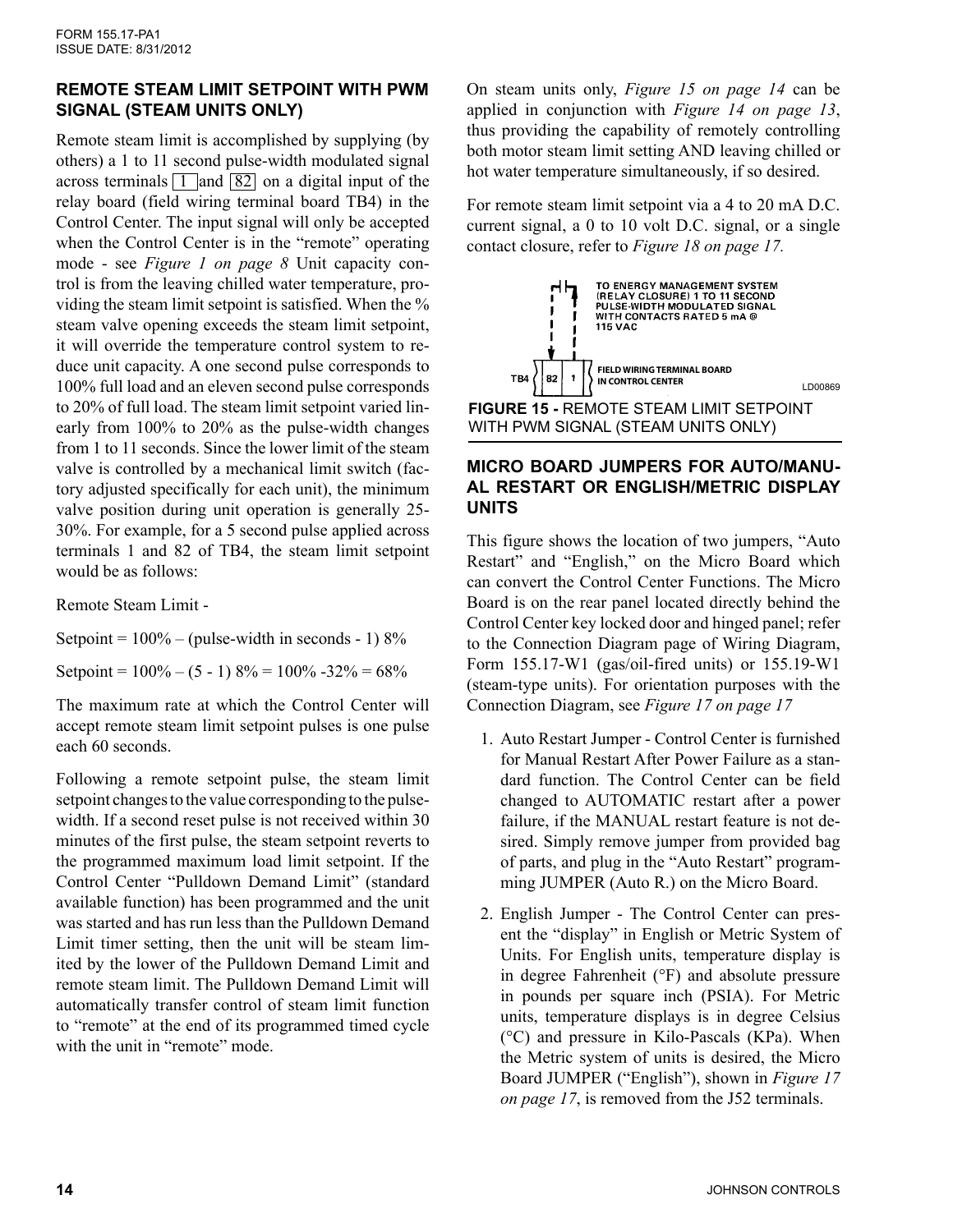# <span id="page-13-0"></span>**REMOTE STEAM LIMIT SETPOINT WITH PWM SIGNAL (STEAM UNITS ONLY)**

Remote steam limit is accomplished by supplying (by others) a 1 to 11 second pulse-width modulated signal across terminals  $\boxed{1}$  and  $\boxed{82}$  on a digital input of the relay board (field wiring terminal board TB4) in the Control Center. The input signal will only be accepted when the Control Center is in the "remote" operating mode - see *[Figure 1 on page 8](#page-7-1)* Unit capacity control is from the leaving chilled water temperature, providing the steam limit setpoint is satisfied. When the % steam valve opening exceeds the steam limit setpoint, it will override the temperature control system to reduce unit capacity. A one second pulse corresponds to 100% full load and an eleven second pulse corresponds to 20% of full load. The steam limit setpoint varied linearly from 100% to 20% as the pulse-width changes from 1 to 11 seconds. Since the lower limit of the steam valve is controlled by a mechanical limit switch (factory adjusted specifically for each unit), the minimum valve position during unit operation is generally 25- 30%. For example, for a 5 second pulse applied across terminals 1 and 82 of TB4, the steam limit setpoint would be as follows:

Remote Steam Limit -

Setpoint =  $100\%$  – (pulse-width in seconds - 1)  $8\%$ 

Setpoint =  $100\% - (5 - 1)8\% = 100\% - 32\% = 68\%$ 

The maximum rate at which the Control Center will accept remote steam limit setpoint pulses is one pulse each 60 seconds.

Following a remote setpoint pulse, the steam limit setpoint changes to the value corresponding to the pulsewidth. If a second reset pulse is not received within 30 minutes of the first pulse, the steam setpoint reverts to the programmed maximum load limit setpoint. If the Control Center "Pulldown Demand Limit" (standard available function) has been programmed and the unit was started and has run less than the Pulldown Demand Limit timer setting, then the unit will be steam limited by the lower of the Pulldown Demand Limit and remote steam limit. The Pulldown Demand Limit will automatically transfer control of steam limit function to "remote" at the end of its programmed timed cycle with the unit in "remote" mode.

On steam units only, *[Figure 15 on page 14](#page-13-1)* can be applied in conjunction with *[Figure 14 on page 13](#page-12-1)*, thus providing the capability of remotely controlling both motor steam limit setting AND leaving chilled or hot water temperature simultaneously, if so desired.

For remote steam limit setpoint via a 4 to 20 mA D.C. current signal, a 0 to 10 volt D.C. signal, or a single contact closure, refer to *[Figure 18 on page 17](#page-16-2).*



# <span id="page-13-1"></span>**MICRO BOARD JUMPERS FOR AUTO/MANU-AL RESTART OR ENGLISH/METRIC DISPLAY UNITS**

This figure shows the location of two jumpers, "Auto Restart" and "English," on the Micro Board which can convert the Control Center Functions. The Micro Board is on the rear panel located directly behind the Control Center key locked door and hinged panel; refer to the Connection Diagram page of Wiring Diagram, Form 155.17-W1 (gas/oil-fired units) or 155.19-W1 (steam-type units). For orientation purposes with the Connection Diagram, see *[Figure 17 on page 17](#page-16-1)*

- 1. Auto Restart Jumper Control Center is furnished for Manual Restart After Power Failure as a standard function. The Control Center can be field changed to AUTOMATIC restart after a power failure, if the MANUAL restart feature is not desired. Simply remove jumper from provided bag of parts, and plug in the "Auto Restart" programming JUMPER (Auto R.) on the Micro Board.
- 2. English Jumper The Control Center can present the "display" in English or Metric System of Units. For English units, temperature display is in degree Fahrenheit (°F) and absolute pressure in pounds per square inch (PSIA). For Metric units, temperature displays is in degree Celsius (°C) and pressure in Kilo-Pascals (KPa). When the Metric system of units is desired, the Micro Board JUMPER ("English"), shown in *[Figure 17](#page-16-1) [on page 17](#page-16-1)*, is removed from the J52 terminals.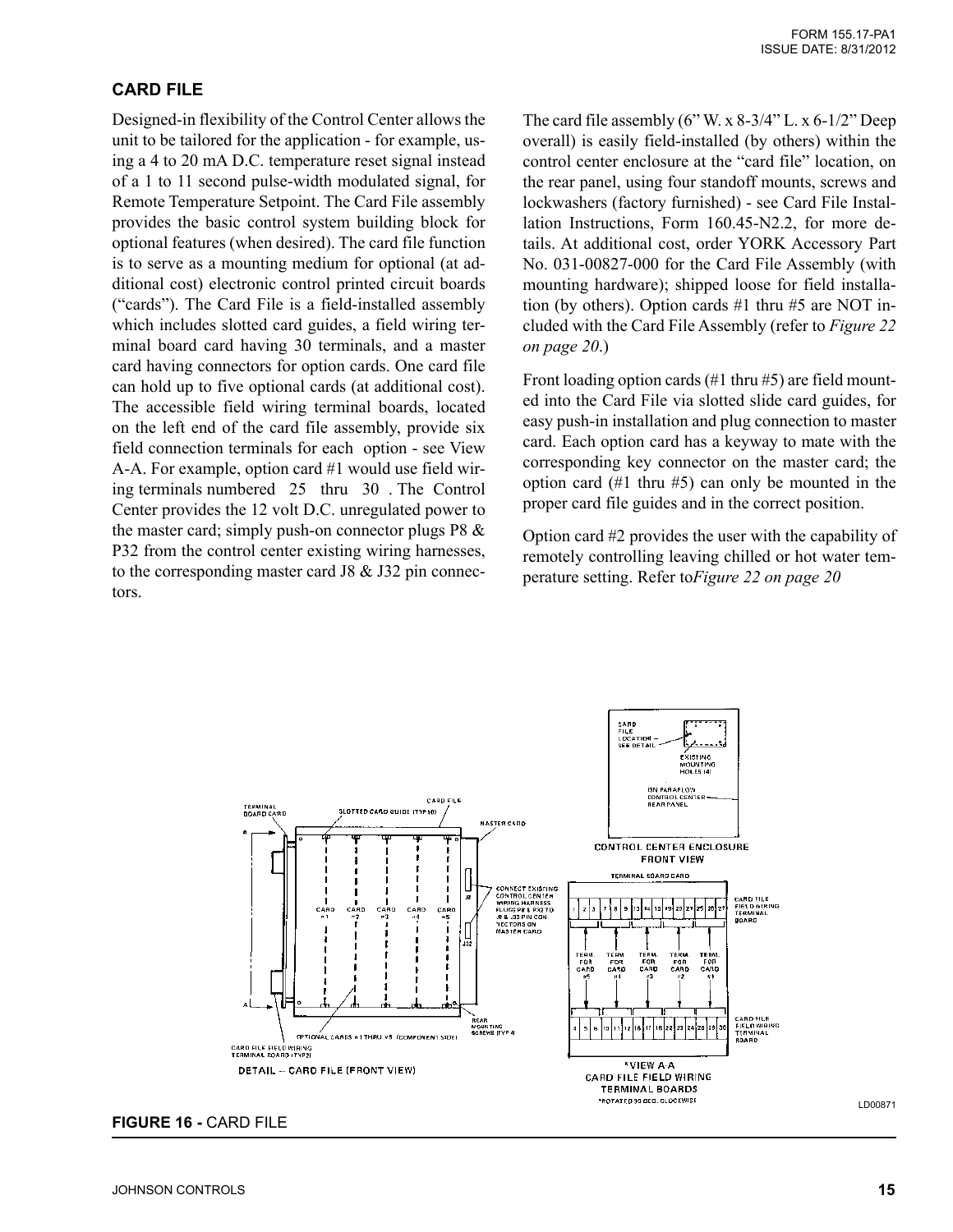# <span id="page-14-0"></span>**CARD FILE**

Designed-in flexibility of the Control Center allows the unit to be tailored for the application - for example, using a 4 to 20 mA D.C. temperature reset signal instead of a 1 to 11 second pulse-width modulated signal, for Remote Temperature Setpoint. The Card File assembly provides the basic control system building block for optional features (when desired). The card file function is to serve as a mounting medium for optional (at additional cost) electronic control printed circuit boards ("cards"). The Card File is a field-installed assembly which includes slotted card guides, a field wiring terminal board card having 30 terminals, and a master card having connectors for option cards. One card file can hold up to five optional cards (at additional cost). The accessible field wiring terminal boards, located on the left end of the card file assembly, provide six field connection terminals for each option - see View A-A. For example, option card #1 would use field wiring terminals numbered 25 thru 30 . The Control Center provides the 12 volt D.C. unregulated power to the master card; simply push-on connector plugs P8 & P32 from the control center existing wiring harnesses, to the corresponding master card J8 & J32 pin connectors.

The card file assembly  $(6" W. x 8-3/4" L. x 6-1/2" Deep$ overall) is easily field-installed (by others) within the control center enclosure at the "card file" location, on the rear panel, using four standoff mounts, screws and lockwashers (factory furnished) - see Card File Installation Instructions, Form 160.45-N2.2, for more details. At additional cost, order YORK Accessory Part No. 031-00827-000 for the Card File Assembly (with mounting hardware); shipped loose for field installation (by others). Option cards #1 thru #5 are NOT included with the Card File Assembly (refer to *[Figure 22](#page-19-1) [on page 20](#page-19-1)*.)

Front loading option cards (#1 thru #5) are field mounted into the Card File via slotted slide card guides, for easy push-in installation and plug connection to master card. Each option card has a keyway to mate with the corresponding key connector on the master card; the option card  $(\#1 \text{ thru } \#5)$  can only be mounted in the proper card file guides and in the correct position.

Option card #2 provides the user with the capability of remotely controlling leaving chilled or hot water temperature setting. Refer to*[Figure 22 on page 20](#page-19-1)*



LD00871

## <span id="page-14-1"></span>**Figure 16 -** CARD FILE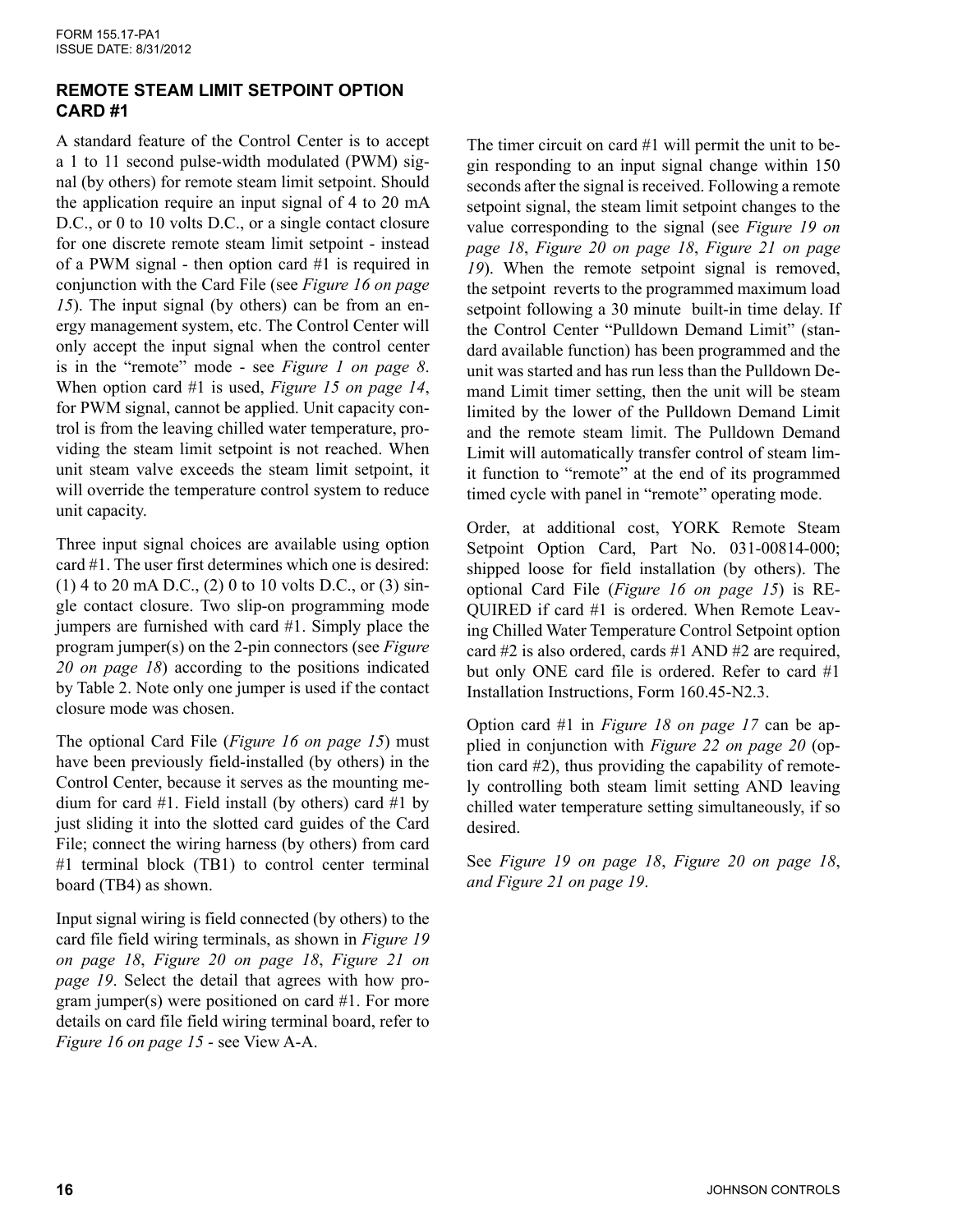# **REMOTE STEAM LIMIT SETPOINT OPTION CARD #1**

A standard feature of the Control Center is to accept a 1 to 11 second pulse-width modulated (PWM) signal (by others) for remote steam limit setpoint. Should the application require an input signal of 4 to 20 mA D.C., or 0 to 10 volts D.C., or a single contact closure for one discrete remote steam limit setpoint - instead of a PWM signal - then option card #1 is required in conjunction with the Card File (see *[Figure 16 on page](#page-14-1)  [15](#page-14-1)*). The input signal (by others) can be from an energy management system, etc. The Control Center will only accept the input signal when the control center is in the "remote" mode - see *[Figure 1 on page 8](#page-7-1)*. When option card #1 is used, *[Figure 15 on page 14](#page-13-1)*, for PWM signal, cannot be applied. Unit capacity control is from the leaving chilled water temperature, providing the steam limit setpoint is not reached. When unit steam valve exceeds the steam limit setpoint, it will override the temperature control system to reduce unit capacity.

Three input signal choices are available using option card #1. The user first determines which one is desired: (1) 4 to 20 mA D.C., (2) 0 to 10 volts D.C., or (3) single contact closure. Two slip-on programming mode jumpers are furnished with card #1. Simply place the program jumper(s) on the 2-pin connectors (see *[Figure](#page-17-1) [20 on page 18](#page-17-1)*) according to the positions indicated by Table 2. Note only one jumper is used if the contact closure mode was chosen.

The optional Card File (*[Figure 16 on page 15](#page-14-1)*) must have been previously field-installed (by others) in the Control Center, because it serves as the mounting medium for card  $#1$ . Field install (by others) card  $#1$  by just sliding it into the slotted card guides of the Card File; connect the wiring harness (by others) from card #1 terminal block (TB1) to control center terminal board (TB4) as shown.

Input signal wiring is field connected (by others) to the card file field wiring terminals, as shown in *[Figure 19](#page-17-2)  [on page 18](#page-17-2)*, *[Figure 20 on page 18](#page-17-1)*, *[Figure 21 on](#page-18-1)  [page 19](#page-18-1)*. Select the detail that agrees with how program jumper(s) were positioned on card #1. For more details on card file field wiring terminal board, refer to *[Figure 16 on page 15](#page-14-1)* - see View A-A.

The timer circuit on card #1 will permit the unit to begin responding to an input signal change within 150 seconds after the signal is received. Following a remote setpoint signal, the steam limit setpoint changes to the value corresponding to the signal (see *[Figure 19 on](#page-17-2) [page 18](#page-17-2)*, *[Figure 20 on page 18](#page-17-1)*, *[Figure 21 on page](#page-18-1) [19](#page-18-1)*). When the remote setpoint signal is removed, the setpoint reverts to the programmed maximum load setpoint following a 30 minute built-in time delay. If the Control Center "Pulldown Demand Limit" (standard available function) has been programmed and the unit was started and has run less than the Pulldown Demand Limit timer setting, then the unit will be steam limited by the lower of the Pulldown Demand Limit and the remote steam limit. The Pulldown Demand Limit will automatically transfer control of steam limit function to "remote" at the end of its programmed timed cycle with panel in "remote" operating mode.

Order, at additional cost, YORK Remote Steam Setpoint Option Card, Part No. 031-00814-000; shipped loose for field installation (by others). The optional Card File (*[Figure 16 on page 15](#page-14-1)*) is RE-QUIRED if card #1 is ordered. When Remote Leaving Chilled Water Temperature Control Setpoint option card #2 is also ordered, cards #1 AND #2 are required, but only ONE card file is ordered. Refer to card #1 Installation Instructions, Form 160.45-N2.3.

Option card #1 in *[Figure 18 on page 17](#page-16-2)* can be applied in conjunction with *[Figure 22 on page 20](#page-19-1)* (option card #2), thus providing the capability of remotely controlling both steam limit setting AND leaving chilled water temperature setting simultaneously, if so desired.

See *[Figure 19 on page 18](#page-17-2)*, *[Figure 20 on page 18](#page-17-1)*, *and [Figure 21 on page 19](#page-18-1)*.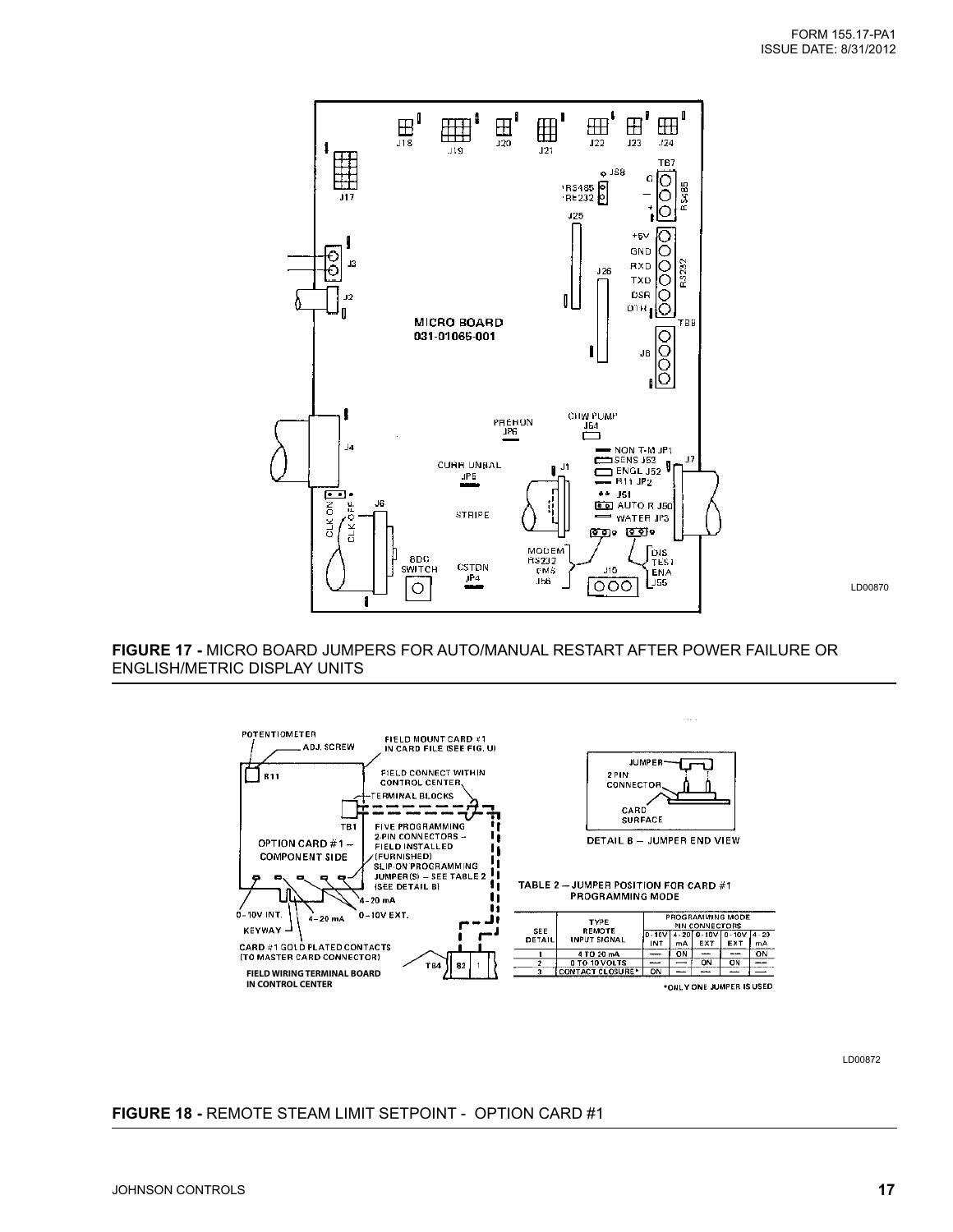<span id="page-16-0"></span>![](_page_16_Figure_1.jpeg)

LD00870

## **Figure 17 -** MICRO BOARD JUMPERS FOR AUTO/MANUAL RESTART AFTER POWER FAILURE OR ENGLISH/METRIC DISPLAY UNITS

<span id="page-16-1"></span>![](_page_16_Figure_4.jpeg)

LD00872

#### <span id="page-16-2"></span>**Figure 18 -** REMOTE STEAM LIMIT SETPOINT - OPTION CARD #1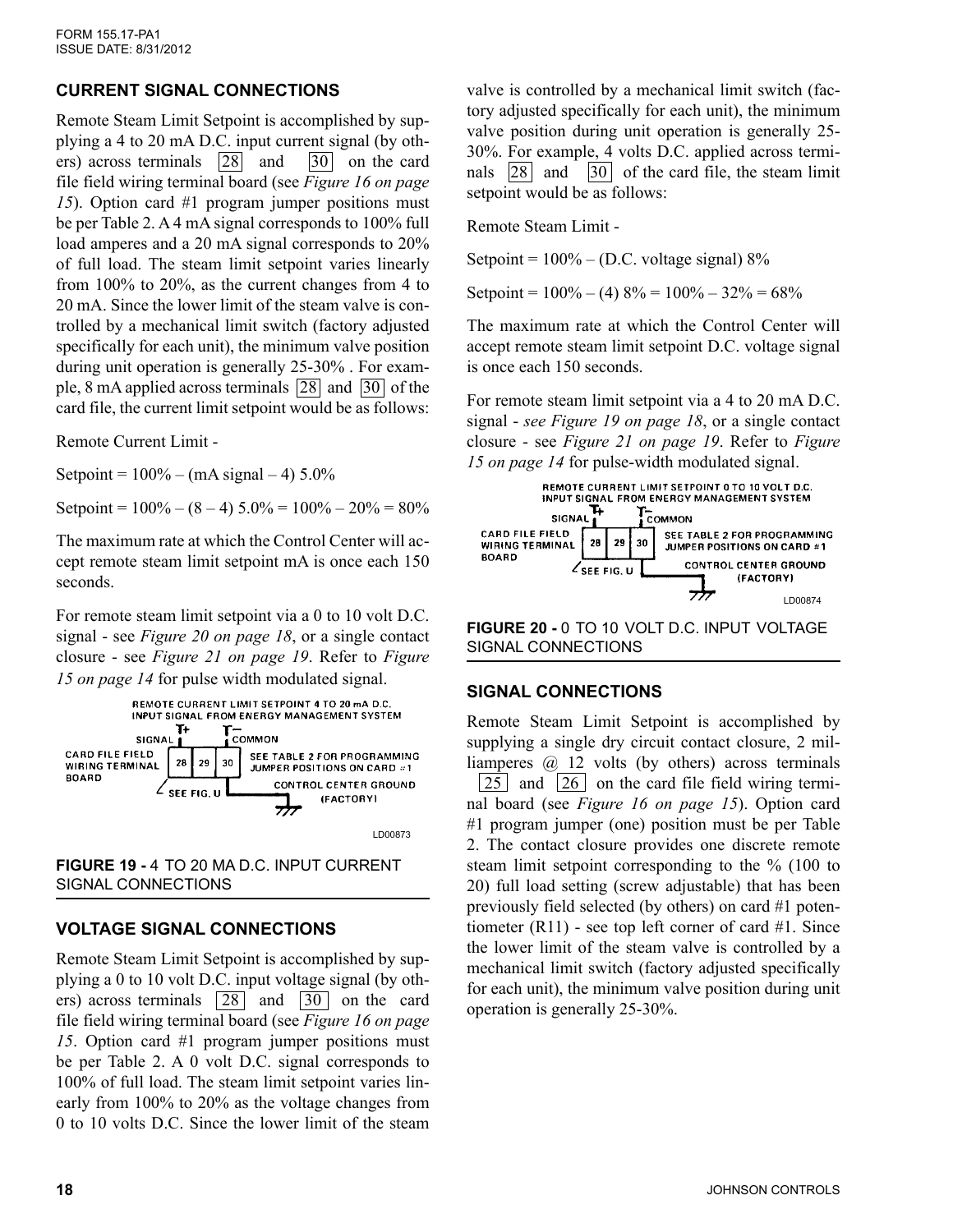# <span id="page-17-0"></span>**CURRENT SIGNAL CONNECTIONS**

Remote Steam Limit Setpoint is accomplished by supplying a 4 to 20 mA D.C. input current signal (by others) across terminals  $\sqrt{28}$  and  $\sqrt{30}$  on the card file field wiring terminal board (see *[Figure 16 on page](#page-14-1) [15](#page-14-1)*). Option card #1 program jumper positions must be per Table 2. A 4 mA signal corresponds to 100% full load amperes and a 20 mA signal corresponds to 20% of full load. The steam limit setpoint varies linearly from 100% to 20%, as the current changes from 4 to 20 mA. Since the lower limit of the steam valve is controlled by a mechanical limit switch (factory adjusted specifically for each unit), the minimum valve position during unit operation is generally 25-30% . For example, 8 mA applied across terminals  $|28|$  and  $|30|$  of the card file, the current limit setpoint would be as follows:

Remote Current Limit -

Setpoint =  $100\% - (mA signal - 4) 5.0\%$ 

Setpoint =  $100\% - (8 - 4)$  5.0% =  $100\% - 20\% = 80\%$ 

The maximum rate at which the Control Center will accept remote steam limit setpoint mA is once each 150 seconds.

For remote steam limit setpoint via a 0 to 10 volt D.C. signal - see *[Figure 20 on page 18](#page-17-1)*, or a single contact closure - see *[Figure 21 on page 19](#page-18-1)*. Refer to *[Figure](#page-13-1) [15 on page 14](#page-13-1)* for pulse width modulated signal.

![](_page_17_Figure_8.jpeg)

<span id="page-17-2"></span>![](_page_17_Figure_9.jpeg)

# **VOLTAGE SIGNAL CONNECTIONS**

Remote Steam Limit Setpoint is accomplished by supplying a 0 to 10 volt D.C. input voltage signal (by others) across terminals  $\boxed{28}$  and  $\boxed{30}$  on the card file field wiring terminal board (see *[Figure 16 on page](#page-14-1) [15](#page-14-1)*. Option card #1 program jumper positions must be per Table 2. A 0 volt D.C. signal corresponds to 100% of full load. The steam limit setpoint varies linearly from 100% to 20% as the voltage changes from 0 to 10 volts D.C. Since the lower limit of the steam

valve is controlled by a mechanical limit switch (factory adjusted specifically for each unit), the minimum valve position during unit operation is generally 25- 30%. For example, 4 volts D.C. applied across terminals  $|28|$  and  $|30|$  of the card file, the steam limit setpoint would be as follows:

Remote Steam Limit -

Setpoint =  $100\%$  – (D.C. voltage signal)  $8\%$ 

Setpoint =  $100\% - (4)8\% = 100\% - 32\% = 68\%$ 

The maximum rate at which the Control Center will accept remote steam limit setpoint D.C. voltage signal is once each 150 seconds.

For remote steam limit setpoint via a 4 to 20 mA D.C. signal - *see [Figure 19 on page 18](#page-17-2)*, or a single contact closure - see *[Figure 21 on page 19](#page-18-1)*. Refer to *[Figure](#page-13-1) [15 on page 14](#page-13-1)* for pulse-width modulated signal.

![](_page_17_Figure_18.jpeg)

<span id="page-17-1"></span>**Figure 20 -** 0 TO 10 VOLT D.C. INPUT VOLTAGE SIGNAL CONNECTIONS

# **SIGNAL CONNECTIONS**

Remote Steam Limit Setpoint is accomplished by supplying a single dry circuit contact closure, 2 milliamperes  $\omega$  12 volts (by others) across terminals  $|25|$  and  $|26|$  on the card file field wiring terminal board (see *[Figure 16 on page 15](#page-14-1)*). Option card #1 program jumper (one) position must be per Table 2. The contact closure provides one discrete remote steam limit setpoint corresponding to the % (100 to 20) full load setting (screw adjustable) that has been previously field selected (by others) on card #1 potentiometer (R11) - see top left corner of card #1. Since the lower limit of the steam valve is controlled by a mechanical limit switch (factory adjusted specifically for each unit), the minimum valve position during unit operation is generally 25-30%.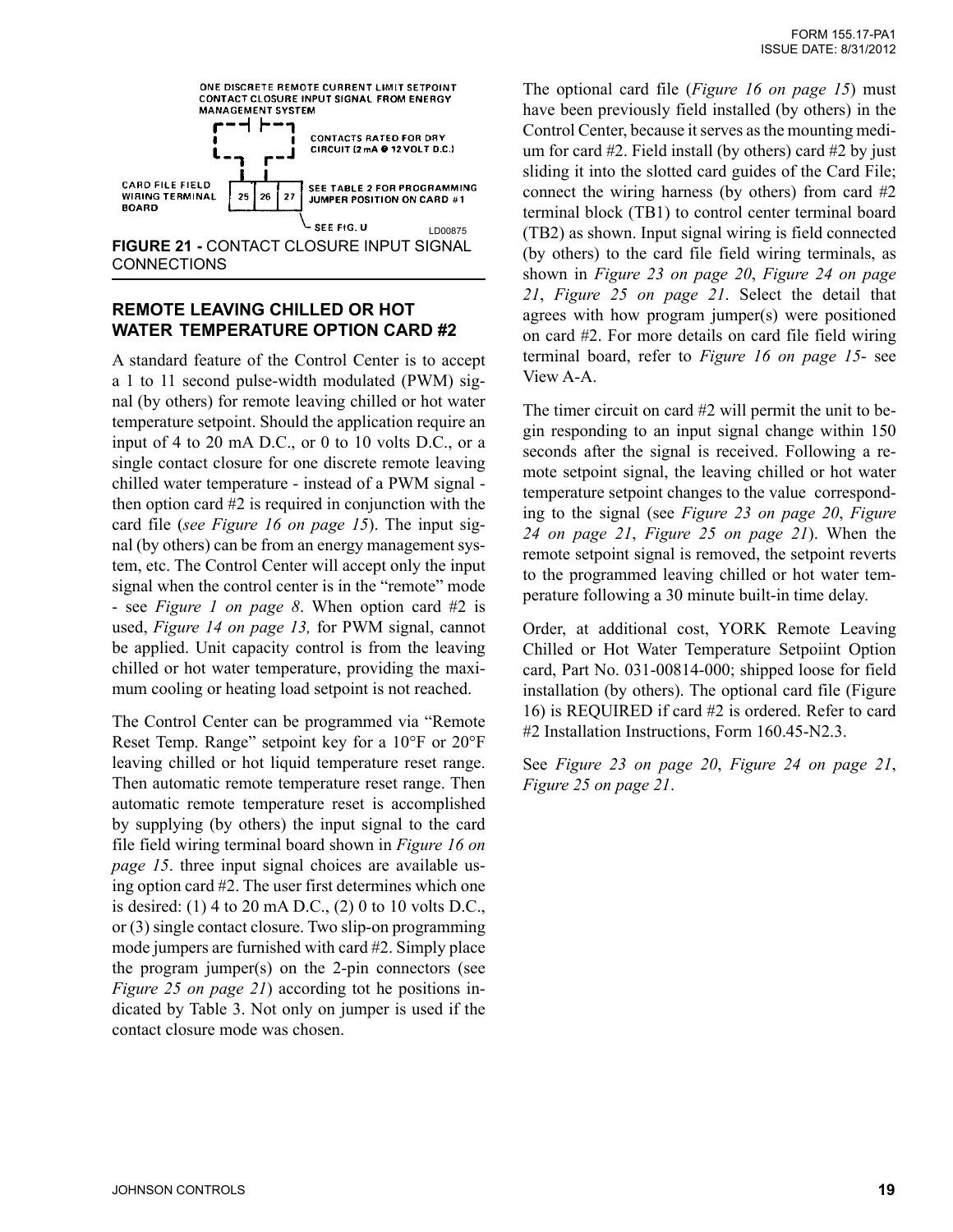![](_page_18_Figure_0.jpeg)

<span id="page-18-0"></span>![](_page_18_Figure_1.jpeg)

# <span id="page-18-1"></span>**REMOTE LEAVING CHILLED OR HOT WATER TEMPERATURE OPTION CARD #2**

A standard feature of the Control Center is to accept a 1 to 11 second pulse-width modulated (PWM) signal (by others) for remote leaving chilled or hot water temperature setpoint. Should the application require an input of 4 to 20 mA D.C., or 0 to 10 volts D.C., or a single contact closure for one discrete remote leaving chilled water temperature - instead of a PWM signal then option card #2 is required in conjunction with the card file (*see [Figure 16 on page 15](#page-14-1)*). The input signal (by others) can be from an energy management system, etc. The Control Center will accept only the input signal when the control center is in the "remote" mode - see *[Figure 1 on page 8](#page-7-1)*. When option card #2 is used, *[Figure 14 on page 13](#page-12-1),* for PWM signal, cannot be applied. Unit capacity control is from the leaving chilled or hot water temperature, providing the maximum cooling or heating load setpoint is not reached.

The Control Center can be programmed via "Remote Reset Temp. Range" setpoint key for a 10°F or 20°F leaving chilled or hot liquid temperature reset range. Then automatic remote temperature reset range. Then automatic remote temperature reset is accomplished by supplying (by others) the input signal to the card file field wiring terminal board shown in *[Figure 16 on](#page-14-1)  [page 15](#page-14-1)*. three input signal choices are available using option card #2. The user first determines which one is desired: (1) 4 to 20 mA D.C., (2) 0 to 10 volts D.C., or (3) single contact closure. Two slip-on programming mode jumpers are furnished with card #2. Simply place the program jumper(s) on the 2-pin connectors (see *[Figure 25 on page 21](#page-20-1)*) according tot he positions indicated by Table 3. Not only on jumper is used if the contact closure mode was chosen.

The optional card file (*[Figure 16 on page 15](#page-14-1)*) must have been previously field installed (by others) in the Control Center, because it serves as the mounting medium for card #2. Field install (by others) card #2 by just sliding it into the slotted card guides of the Card File; connect the wiring harness (by others) from card #2 terminal block (TB1) to control center terminal board (TB2) as shown. Input signal wiring is field connected (by others) to the card file field wiring terminals, as shown in *[Figure 23 on page 20](#page-19-2)*, *[Figure 24 on page](#page-20-2)  [21](#page-20-2)*, *[Figure 25 on page 21](#page-20-1)*. Select the detail that agrees with how program jumper(s) were positioned on card #2. For more details on card file field wiring terminal board, refer to *[Figure 16 on page 15](#page-14-1)*- see View A-A.

The timer circuit on card #2 will permit the unit to begin responding to an input signal change within 150 seconds after the signal is received. Following a remote setpoint signal, the leaving chilled or hot water temperature setpoint changes to the value corresponding to the signal (see *[Figure 23 on page 20](#page-19-2)*, *[Figure](#page-20-2) [24 on page 21](#page-20-2)*, *[Figure 25 on page 21](#page-20-1)*). When the remote setpoint signal is removed, the setpoint reverts to the programmed leaving chilled or hot water temperature following a 30 minute built-in time delay.

Order, at additional cost, YORK Remote Leaving Chilled or Hot Water Temperature Setpoiint Option card, Part No. 031-00814-000; shipped loose for field installation (by others). The optional card file (Figure 16) is REQUIRED if card #2 is ordered. Refer to card #2 Installation Instructions, Form 160.45-N2.3.

See *[Figure 23 on page 20](#page-19-2)*, *[Figure 24 on page 21](#page-20-2)*, *[Figure 25 on page 21](#page-20-1)*.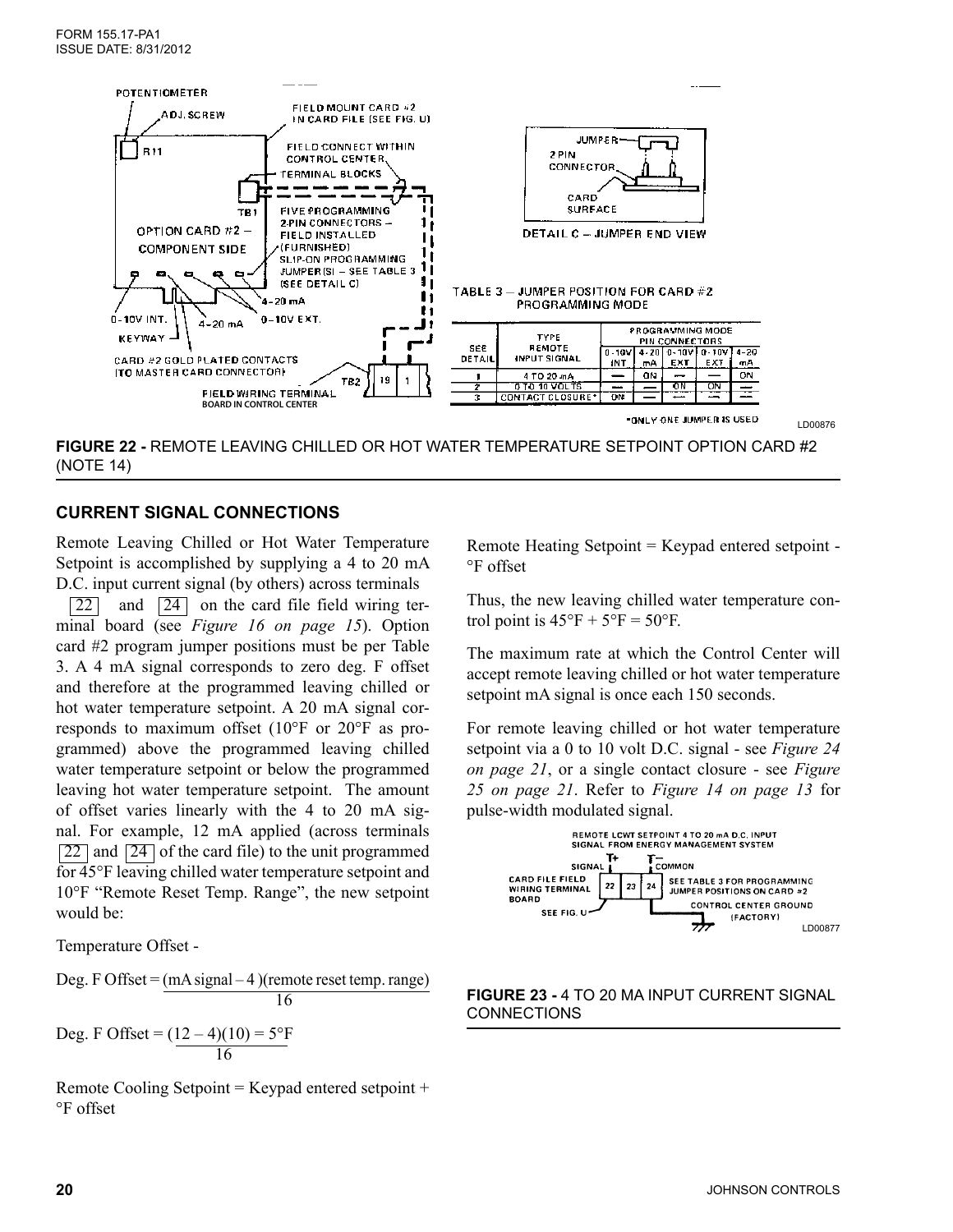<span id="page-19-0"></span>![](_page_19_Figure_1.jpeg)

<span id="page-19-1"></span>**Figure 22 -** REMOTE LEAVING CHILLED OR HOT WATER TEMPERATURE SETPOINT OPTION CARD #2 (NOTE 14)

# **CURRENT SIGNAL CONNECTIONS**

Remote Leaving Chilled or Hot Water Temperature Setpoint is accomplished by supplying a 4 to 20 mA D.C. input current signal (by others) across terminals

 $\sqrt{22}$  and  $\sqrt{24}$  on the card file field wiring terminal board (see *[Figure 16 on page 15](#page-14-1)*). Option card #2 program jumper positions must be per Table 3. A 4 mA signal corresponds to zero deg. F offset and therefore at the programmed leaving chilled or hot water temperature setpoint. A 20 mA signal corresponds to maximum offset (10°F or 20°F as programmed) above the programmed leaving chilled water temperature setpoint or below the programmed leaving hot water temperature setpoint. The amount of offset varies linearly with the 4 to 20 mA signal. For example, 12 mA applied (across terminals  $\sqrt{22}$  and  $\sqrt{24}$  of the card file) to the unit programmed for 45°F leaving chilled water temperature setpoint and 10°F "Remote Reset Temp. Range", the new setpoint would be:

Temperature Offset -

Deg. F Offset = 
$$
\frac{(mA \text{ signal} - 4)(\text{remote reset temp. range})}{16}
$$

Deg. F Offset =  $(12 – 4)(10) = 5^{\circ}F$ 16

Remote Cooling Setpoint = Keypad entered setpoint + °F offset

Remote Heating Setpoint = Keypad entered setpoint - °F offset

Thus, the new leaving chilled water temperature control point is  $45^{\circ}F + 5^{\circ}F = 50^{\circ}F$ .

The maximum rate at which the Control Center will accept remote leaving chilled or hot water temperature setpoint mA signal is once each 150 seconds.

For remote leaving chilled or hot water temperature setpoint via a 0 to 10 volt D.C. signal - see *[Figure 24](#page-20-2) [on page 21](#page-20-2)*, or a single contact closure - see *[Figure](#page-20-1) [25 on page 21](#page-20-1)*. Refer to *[Figure 14 on page 13](#page-12-1)* for pulse-width modulated signal.

![](_page_19_Figure_14.jpeg)

<span id="page-19-2"></span>![](_page_19_Figure_15.jpeg)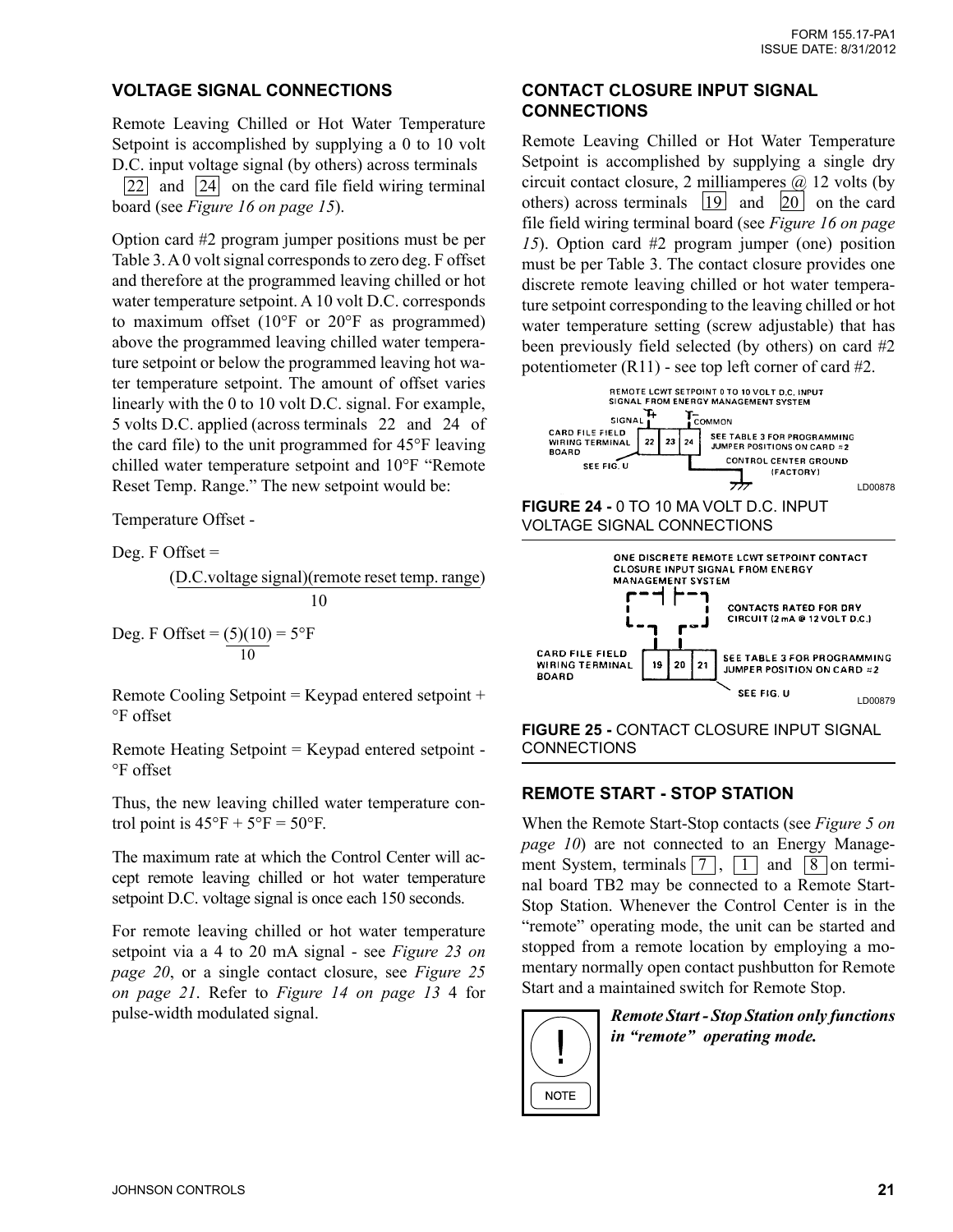# <span id="page-20-0"></span>**VOLTAGE SIGNAL CONNECTIONS**

Remote Leaving Chilled or Hot Water Temperature Setpoint is accomplished by supplying a 0 to 10 volt D.C. input voltage signal (by others) across terminals

 $|22|$  and  $|24|$  on the card file field wiring terminal board (see *[Figure 16 on page 15](#page-14-1)*).

Option card #2 program jumper positions must be per Table 3. A 0 volt signal corresponds to zero deg. F offset and therefore at the programmed leaving chilled or hot water temperature setpoint. A 10 volt D.C. corresponds to maximum offset (10°F or 20°F as programmed) above the programmed leaving chilled water temperature setpoint or below the programmed leaving hot water temperature setpoint. The amount of offset varies linearly with the 0 to 10 volt D.C. signal. For example, 5 volts D.C. applied (across terminals 22 and 24 of the card file) to the unit programmed for 45°F leaving chilled water temperature setpoint and 10°F "Remote Reset Temp. Range." The new setpoint would be:

Temperature Offset -

Deg.  $F$  Offset  $=$ 

(D.C.voltage signal)(remote reset temp. range) 10

Deg. F Offset =  $(5)(10) = 5^{\circ}F$ 10

Remote Cooling Setpoint = Keypad entered setpoint + °F offset

Remote Heating Setpoint = Keypad entered setpoint - °F offset

Thus, the new leaving chilled water temperature control point is  $45^{\circ}F + 5^{\circ}F = 50^{\circ}F$ .

The maximum rate at which the Control Center will accept remote leaving chilled or hot water temperature setpoint D.C. voltage signal is once each 150 seconds.

For remote leaving chilled or hot water temperature setpoint via a 4 to 20 mA signal - see *[Figure 23 on](#page-19-2) [page 20](#page-19-2)*, or a single contact closure, see *[Figure 25](#page-20-1)  [on page 21](#page-20-1)*. Refer to *[Figure 14 on page 13](#page-12-1)* 4 for pulse-width modulated signal.

# **CONTACT CLOSURE INPUT SIGNAL CONNECTIONS**

Remote Leaving Chilled or Hot Water Temperature Setpoint is accomplished by supplying a single dry circuit contact closure, 2 milliamperes  $(a)$  12 volts (by others) across terminals  $|19|$  and  $|20|$  on the card file field wiring terminal board (see *[Figure 16 on page](#page-14-1) [15](#page-14-1)*). Option card #2 program jumper (one) position must be per Table 3. The contact closure provides one discrete remote leaving chilled or hot water temperature setpoint corresponding to the leaving chilled or hot water temperature setting (screw adjustable) that has been previously field selected (by others) on card #2 potentiometer (R11) - see top left corner of card #2.

![](_page_20_Figure_16.jpeg)

<span id="page-20-2"></span>**Figure 24 -** 0 TO 10 MA VOLT D.C. INPUT VOLTAGE SIGNAL CONNECTIONS

![](_page_20_Figure_18.jpeg)

<span id="page-20-1"></span>**Figure 25 -** CONTACT CLOSURE INPUT SIGNAL **CONNECTIONS** 

# **REMOTE START - STOP STATION**

When the Remote Start-Stop contacts (see *[Figure 5 on](#page-9-1) [page 10](#page-9-1)*) are not connected to an Energy Management System, terminals  $\boxed{7}$ ,  $\boxed{1}$  and  $\boxed{8}$  on terminal board TB2 may be connected to a Remote Start-Stop Station. Whenever the Control Center is in the "remote" operating mode, the unit can be started and stopped from a remote location by employing a momentary normally open contact pushbutton for Remote Start and a maintained switch for Remote Stop.

![](_page_20_Picture_22.jpeg)

*Remote Start - Stop Station only functions in "remote" operating mode.*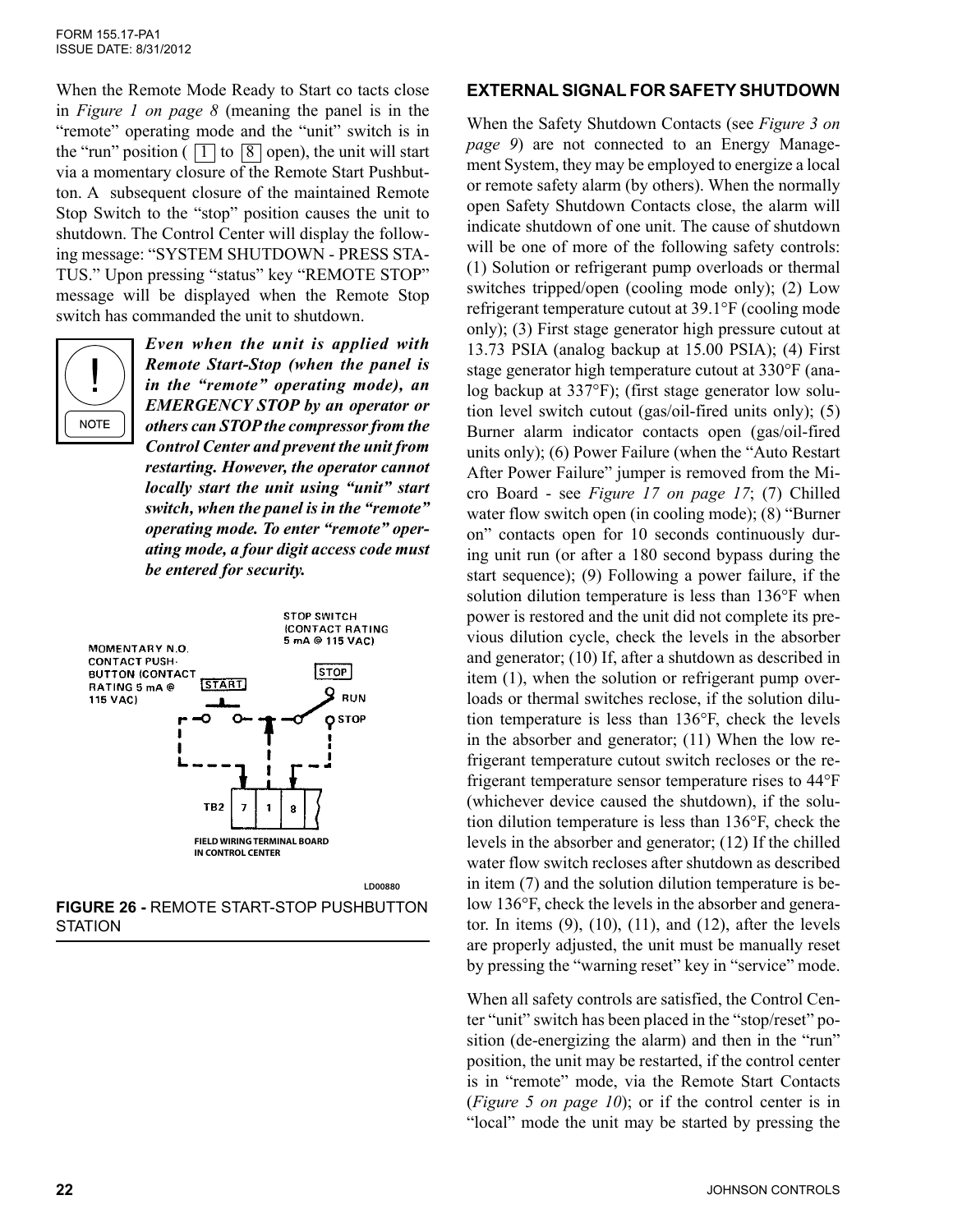<span id="page-21-0"></span>When the Remote Mode Ready to Start co tacts close in *[Figure 1 on page 8](#page-7-1)* (meaning the panel is in the "remote" operating mode and the "unit" switch is in the "run" position ( $\boxed{1}$  to  $\boxed{8}$  open), the unit will start via a momentary closure of the Remote Start Pushbutton. A subsequent closure of the maintained Remote Stop Switch to the "stop" position causes the unit to shutdown. The Control Center will display the following message: "SYSTEM SHUTDOWN - PRESS STA-TUS." Upon pressing "status" key "REMOTE STOP" message will be displayed when the Remote Stop switch has commanded the unit to shutdown.

![](_page_21_Picture_2.jpeg)

*Even when the unit is applied with Remote Start-Stop (when the panel is in the "remote" operating mode), an EMERGENCY STOP by an operator or others can STOP the compressor from the Control Center and prevent the unit from restarting. However, the operator cannot locally start the unit using "unit" start switch, when the panel is in the "remote" operating mode. To enter "remote" operating mode, a four digit access code must be entered for security.*

![](_page_21_Figure_4.jpeg)

**Figure 26 -** REMOTE START-STOP PUSHBUTTON **STATION** 

#### **EXTERNAL SIGNAL FOR SAFETY SHUTDOWN**

When the Safety Shutdown Contacts (see *[Figure 3 on](#page-8-1) [page 9](#page-8-1)*) are not connected to an Energy Management System, they may be employed to energize a local or remote safety alarm (by others). When the normally open Safety Shutdown Contacts close, the alarm will indicate shutdown of one unit. The cause of shutdown will be one of more of the following safety controls: (1) Solution or refrigerant pump overloads or thermal switches tripped/open (cooling mode only); (2) Low refrigerant temperature cutout at 39.1°F (cooling mode only); (3) First stage generator high pressure cutout at 13.73 PSIA (analog backup at 15.00 PSIA); (4) First stage generator high temperature cutout at 330°F (analog backup at 337°F); (first stage generator low solution level switch cutout (gas/oil-fired units only); (5) Burner alarm indicator contacts open (gas/oil-fired units only); (6) Power Failure (when the "Auto Restart After Power Failure" jumper is removed from the Micro Board - see *[Figure 17 on page 17](#page-16-1)*; (7) Chilled water flow switch open (in cooling mode); (8) "Burner on" contacts open for 10 seconds continuously during unit run (or after a 180 second bypass during the start sequence); (9) Following a power failure, if the solution dilution temperature is less than 136°F when power is restored and the unit did not complete its previous dilution cycle, check the levels in the absorber and generator; (10) If, after a shutdown as described in item (1), when the solution or refrigerant pump overloads or thermal switches reclose, if the solution dilution temperature is less than 136°F, check the levels in the absorber and generator; (11) When the low refrigerant temperature cutout switch recloses or the refrigerant temperature sensor temperature rises to 44°F (whichever device caused the shutdown), if the solution dilution temperature is less than 136°F, check the levels in the absorber and generator; (12) If the chilled water flow switch recloses after shutdown as described in item (7) and the solution dilution temperature is below 136°F, check the levels in the absorber and generator. In items  $(9)$ ,  $(10)$ ,  $(11)$ , and  $(12)$ , after the levels are properly adjusted, the unit must be manually reset by pressing the "warning reset" key in "service" mode.

When all safety controls are satisfied, the Control Center "unit" switch has been placed in the "stop/reset" position (de-energizing the alarm) and then in the "run" position, the unit may be restarted, if the control center is in "remote" mode, via the Remote Start Contacts (*[Figure 5 on page 10](#page-9-1)*); or if the control center is in "local" mode the unit may be started by pressing the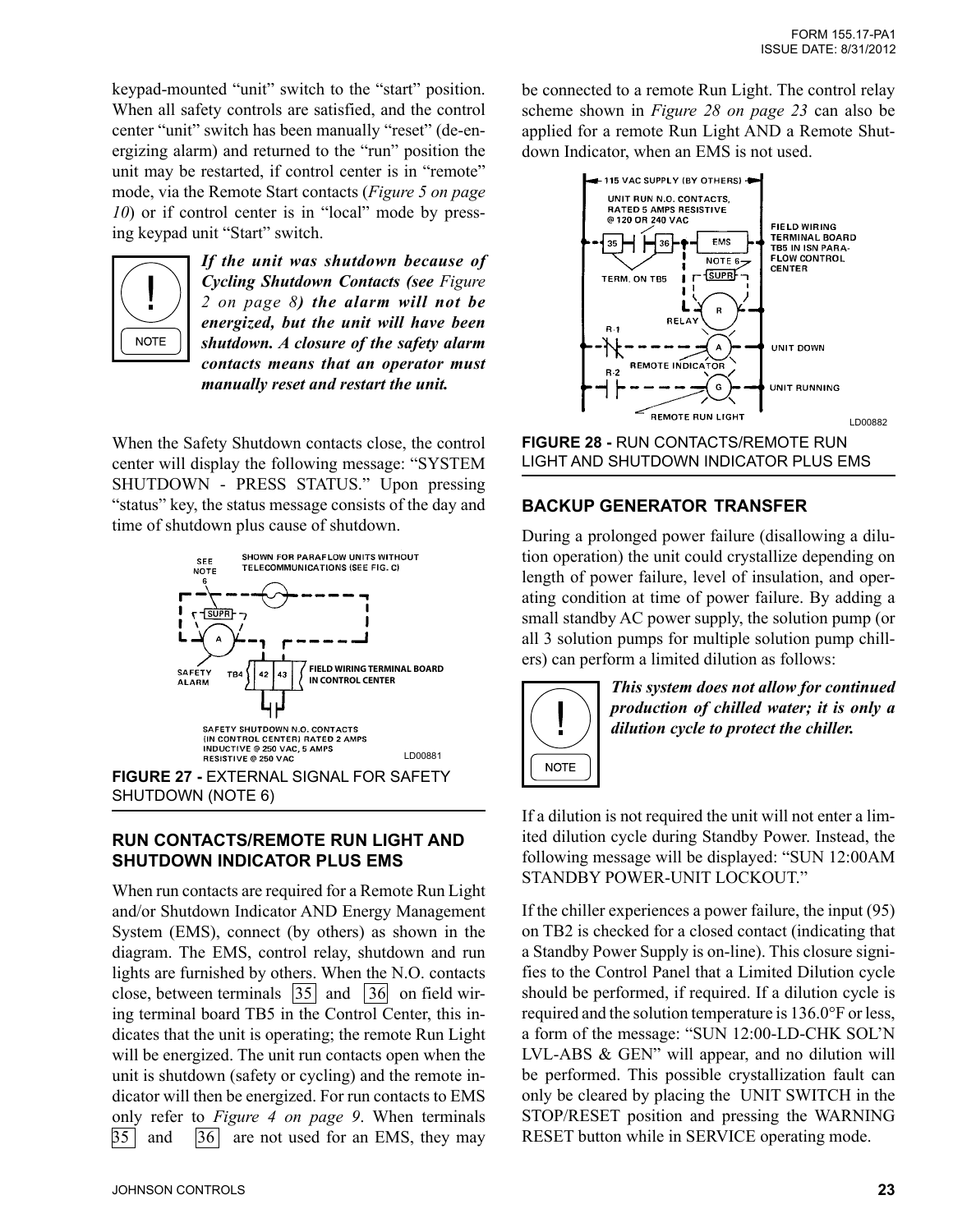<span id="page-22-0"></span>keypad-mounted "unit" switch to the "start" position. When all safety controls are satisfied, and the control center "unit" switch has been manually "reset" (de-energizing alarm) and returned to the "run" position the unit may be restarted, if control center is in "remote" mode, via the Remote Start contacts (*[Figure 5 on page](#page-9-1) [10](#page-9-1)*) or if control center is in "local" mode by pressing keypad unit "Start" switch.

![](_page_22_Picture_2.jpeg)

*If the unit was shutdown because of Cycling Shutdown Contacts (see [Figure](#page-7-2) [2 on page 8](#page-7-2)) the alarm will not be energized, but the unit will have been shutdown. A closure of the safety alarm contacts means that an operator must manually reset and restart the unit.*

When the Safety Shutdown contacts close, the control center will display the following message: "SYSTEM SHUTDOWN - PRESS STATUS." Upon pressing "status" key, the status message consists of the day and time of shutdown plus cause of shutdown.

![](_page_22_Figure_5.jpeg)

SHUTDOWN (NOTE 6)

# **RUN CONTACTS/REMOTE RUN LIGHT AND SHUTDOWN INDICATOR PLUS EMS**

When run contacts are required for a Remote Run Light and/or Shutdown Indicator AND Energy Management System (EMS), connect (by others) as shown in the diagram. The EMS, control relay, shutdown and run lights are furnished by others. When the N.O. contacts close, between terminals  $|35|$  and  $|36|$  on field wiring terminal board TB5 in the Control Center, this indicates that the unit is operating; the remote Run Light will be energized. The unit run contacts open when the unit is shutdown (safety or cycling) and the remote indicator will then be energized. For run contacts to EMS only refer to *[Figure 4 on page 9](#page-8-2)*. When terminals  $|35|$  and  $|36|$  are not used for an EMS, they may

be connected to a remote Run Light. The control relay scheme shown in *[Figure 28 on page 23](#page-22-1)* can also be applied for a remote Run Light AND a Remote Shutdown Indicator, when an EMS is not used.

![](_page_22_Figure_11.jpeg)

<span id="page-22-1"></span>**Figure 28 -** RUN CONTACTS/REMOTE RUN LIGHT AND SHUTDOWN INDICATOR PLUS EMS

# **BACKUP GENERATOR TRANSFER**

During a prolonged power failure (disallowing a dilution operation) the unit could crystallize depending on length of power failure, level of insulation, and operating condition at time of power failure. By adding a small standby AC power supply, the solution pump (or all 3 solution pumps for multiple solution pump chillers) can perform a limited dilution as follows:

![](_page_22_Picture_15.jpeg)

*This system does not allow for continued production of chilled water; it is only a dilution cycle to protect the chiller.*

If a dilution is not required the unit will not enter a limited dilution cycle during Standby Power. Instead, the following message will be displayed: "SUN 12:00AM STANDBY POWER-UNIT LOCKOUT."

If the chiller experiences a power failure, the input (95) on TB2 is checked for a closed contact (indicating that a Standby Power Supply is on-line). This closure signifies to the Control Panel that a Limited Dilution cycle should be performed, if required. If a dilution cycle is required and the solution temperature is 136.0°F or less, a form of the message: "SUN 12:00-LD-CHK SOL'N LVL-ABS & GEN" will appear, and no dilution will be performed. This possible crystallization fault can only be cleared by placing the UNIT SWITCH in the STOP/RESET position and pressing the WARNING RESET button while in SERVICE operating mode.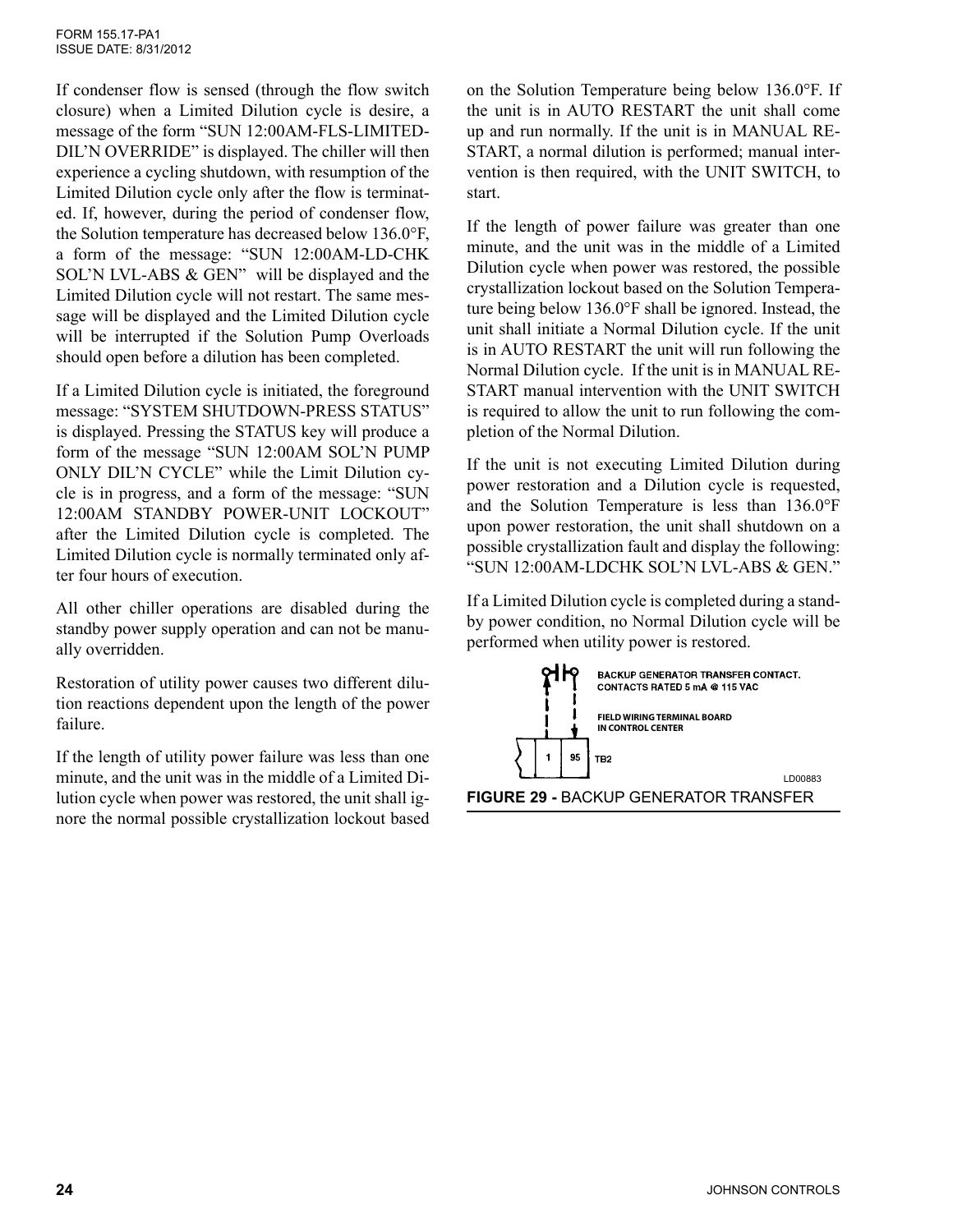<span id="page-23-0"></span>If condenser flow is sensed (through the flow switch closure) when a Limited Dilution cycle is desire, a message of the form "SUN 12:00AM-FLS-LIMITED-DIL'N OVERRIDE" is displayed. The chiller will then experience a cycling shutdown, with resumption of the Limited Dilution cycle only after the flow is terminated. If, however, during the period of condenser flow, the Solution temperature has decreased below 136.0°F, a form of the message: "SUN 12:00AM-LD-CHK SOL'N LVL-ABS & GEN" will be displayed and the Limited Dilution cycle will not restart. The same message will be displayed and the Limited Dilution cycle will be interrupted if the Solution Pump Overloads should open before a dilution has been completed.

If a Limited Dilution cycle is initiated, the foreground message: "SYSTEM SHUTDOWN-PRESS STATUS" is displayed. Pressing the STATUS key will produce a form of the message "SUN 12:00AM SOL'N PUMP ONLY DIL'N CYCLE" while the Limit Dilution cycle is in progress, and a form of the message: "SUN 12:00AM STANDBY POWER-UNIT LOCKOUT" after the Limited Dilution cycle is completed. The Limited Dilution cycle is normally terminated only after four hours of execution.

All other chiller operations are disabled during the standby power supply operation and can not be manually overridden.

Restoration of utility power causes two different dilution reactions dependent upon the length of the power failure.

If the length of utility power failure was less than one minute, and the unit was in the middle of a Limited Dilution cycle when power was restored, the unit shall ignore the normal possible crystallization lockout based on the Solution Temperature being below 136.0°F. If the unit is in AUTO RESTART the unit shall come up and run normally. If the unit is in MANUAL RE-START, a normal dilution is performed; manual intervention is then required, with the UNIT SWITCH, to start.

If the length of power failure was greater than one minute, and the unit was in the middle of a Limited Dilution cycle when power was restored, the possible crystallization lockout based on the Solution Temperature being below 136.0°F shall be ignored. Instead, the unit shall initiate a Normal Dilution cycle. If the unit is in AUTO RESTART the unit will run following the Normal Dilution cycle. If the unit is in MANUAL RE-START manual intervention with the UNIT SWITCH is required to allow the unit to run following the completion of the Normal Dilution.

If the unit is not executing Limited Dilution during power restoration and a Dilution cycle is requested, and the Solution Temperature is less than 136.0°F upon power restoration, the unit shall shutdown on a possible crystallization fault and display the following: "SUN 12:00AM-LDCHK SOL'N LVL-ABS & GEN."

If a Limited Dilution cycle is completed during a standby power condition, no Normal Dilution cycle will be performed when utility power is restored.

![](_page_23_Figure_10.jpeg)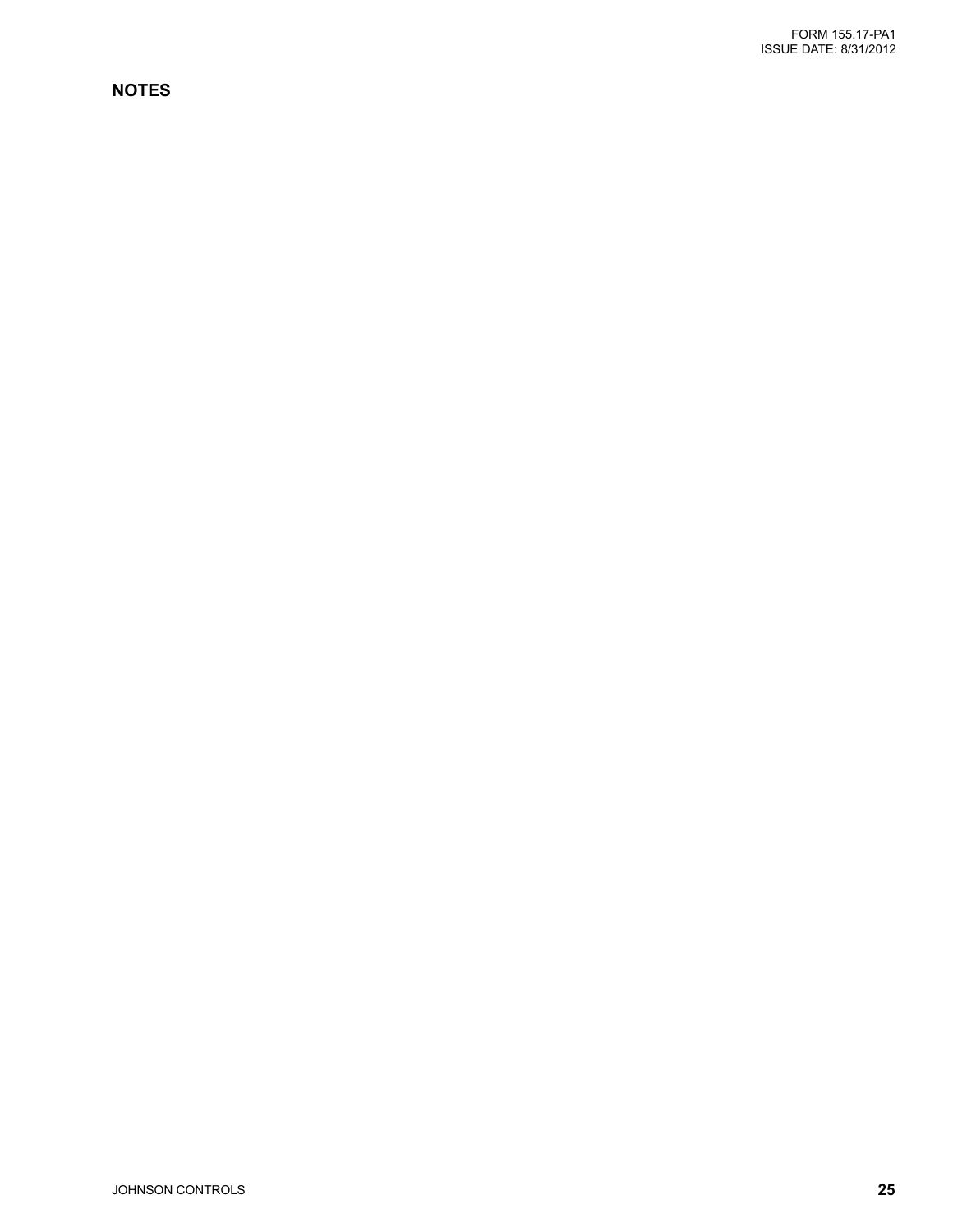**NOTES**